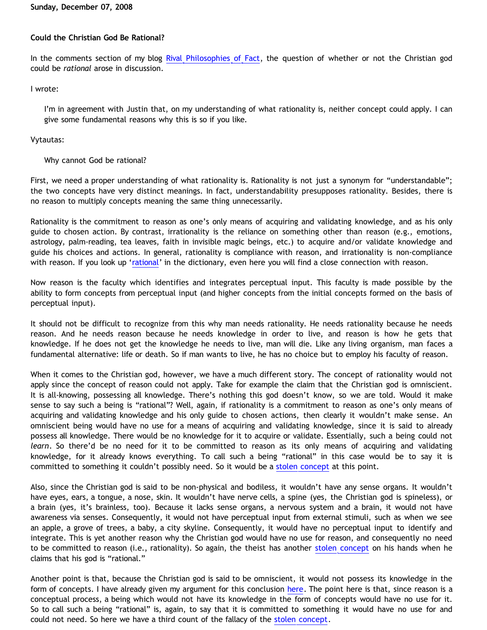# **Sunday, December 07, 2008**

# **Could the Christian God Be Rational?**

In the comments section of my blog [Rival Philosophies of Fact](http://bahnsenburner.blogspot.com/2008/11/rival-philosophies-of-fact.html), the question of whether or not the Christian god could be *rational* arose in discussion.

# I wrote:

I'm in agreement with Justin that, on my understanding of what rationality is, neither concept could apply. I can give some fundamental reasons why this is so if you like.

# Vytautas:

# Why cannot God be rational?

First, we need a proper understanding of what rationality is. Rationality is not just a synonym for "understandable"; the two concepts have very distinct meanings. In fact, understandability presupposes rationality. Besides, there is no reason to multiply concepts meaning the same thing unnecessarily.

Rationality is the commitment to reason as one's only means of acquiring and validating knowledge, and as his only guide to chosen action. By contrast, irrationality is the reliance on something other than reason (e.g., emotions, astrology, palm-reading, tea leaves, faith in invisible magic beings, etc.) to acquire and/or validate knowledge and guide his choices and actions. In general, rationality is compliance with reason, and irrationality is non-compliance with reason. If you look up '[rational](http://dictionary.reference.com/browse/rational)' in the dictionary, even here you will find a close connection with reason.

Now reason is the faculty which identifies and integrates perceptual input. This faculty is made possible by the ability to form concepts from perceptual input (and higher concepts from the initial concepts formed on the basis of perceptual input).

It should not be difficult to recognize from this why man needs rationality. He needs rationality because he needs reason. And he needs reason because he needs knowledge in order to live, and reason is how he gets that knowledge. If he does not get the knowledge he needs to live, man will die. Like any living organism, man faces a fundamental alternative: life or death. So if man wants to live, he has no choice but to employ his faculty of reason.

When it comes to the Christian god, however, we have a much different story. The concept of rationality would not apply since the concept of reason could not apply. Take for example the claim that the Christian god is omniscient. It is all-knowing, possessing all knowledge. There's nothing this god doesn't know, so we are told. Would it make sense to say such a being is "rational"? Well, again, if rationality is a commitment to reason as one's only means of acquiring and validating knowledge and his only guide to chosen actions, then clearly it wouldn't make sense. An omniscient being would have no use for a means of acquiring and validating knowledge, since it is said to already possess all knowledge. There would be no knowledge for it to acquire or validate. Essentially, such a being could not *learn*. So there'd be no need for it to be committed to reason as its only means of acquiring and validating knowledge, for it already knows everything. To call such a being "rational" in this case would be to say it is committed to something it couldn't possibly need. So it would be a [stolen concept](http://bahnsenburner.blogspot.com/2008/06/stolen-concepts-and-intellectual.html) at this point.

Also, since the Christian god is said to be non-physical and bodiless, it wouldn't have any sense organs. It wouldn't have eyes, ears, a tongue, a nose, skin. It wouldn't have nerve cells, a spine (yes, the Christian god is spineless), or a brain (yes, it's brainless, too). Because it lacks sense organs, a nervous system and a brain, it would not have awareness via senses. Consequently, it would not have perceptual input from external stimuli, such as when we see an apple, a grove of trees, a baby, a city skyline. Consequently, it would have no perceptual input to identify and integrate. This is yet another reason why the Christian god would have no use for reason, and consequently no need to be committed to reason (i.e., rationality). So again, the theist has another [stolen concept](http://bahnsenburner.blogspot.com/2008/06/stolen-concepts-and-intellectual.html) on his hands when he claims that his god is "rational."

Another point is that, because the Christian god is said to be omniscient, it would not possess its knowledge in the form of concepts. I have already given my argument for this conclusion [here](http://bahnsenburner.blogspot.com/2007/04/would-omniscient-mind-have-knowledge-in.html). The point here is that, since reason is a conceptual process, a being which would not have its knowledge in the form of concepts would have no use for it. So to call such a being "rational" is, again, to say that it is committed to something it would have no use for and could not need. So here we have a third count of the fallacy of the [stolen concept.](http://bahnsenburner.blogspot.com/2008/06/stolen-concepts-and-intellectual.html)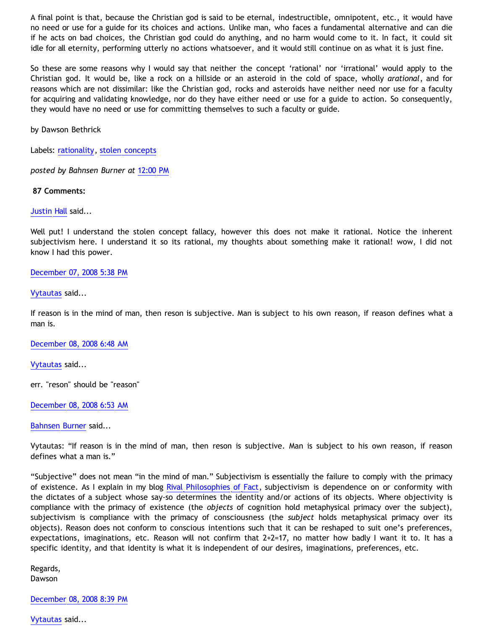A final point is that, because the Christian god is said to be eternal, indestructible, omnipotent, etc., it would have no need or use for a guide for its choices and actions. Unlike man, who faces a fundamental alternative and can die if he acts on bad choices, the Christian god could do anything, and no harm would come to it. In fact, it could sit idle for all eternity, performing utterly no actions whatsoever, and it would still continue on as what it is just fine.

So these are some reasons why I would say that neither the concept 'rational' nor 'irrational' would apply to the Christian god. It would be, like a rock on a hillside or an asteroid in the cold of space, wholly *arational*, and for reasons which are not dissimilar: like the Christian god, rocks and asteroids have neither need nor use for a faculty for acquiring and validating knowledge, nor do they have either need or use for a guide to action. So consequently, they would have no need or use for committing themselves to such a faculty or guide.

by Dawson Bethrick

Labels: [rationality](http://bahnsenburner.blogspot.com/search/label/rationality), [stolen concepts](http://bahnsenburner.blogspot.com/search/label/stolen%20concepts)

*posted by Bahnsen Burner at* [12:00 PM](http://bahnsenburner.blogspot.com/2008/12/could-christian-god-be-rational.html)

 **87 Comments:**

[Justin Hall](http://www.blogger.com/profile/17804641315202800289) said...

Well put! I understand the stolen concept fallacy, however this does not make it rational. Notice the inherent subjectivism here. I understand it so its rational, my thoughts about something make it rational! wow, I did not know I had this power.

# [December 07, 2008 5:38 PM](http://bahnsenburner.blogspot.com/2008/12/#8773730732891167497)

[Vytautas](http://www.blogger.com/profile/10563655929016752682) said...

If reason is in the mind of man, then reson is subjective. Man is subject to his own reason, if reason defines what a man is.

[December 08, 2008 6:48 AM](http://bahnsenburner.blogspot.com/2008/12/#1677514657703028371)

[Vytautas](http://www.blogger.com/profile/10563655929016752682) said...

err. "reson" should be "reason"

[December 08, 2008 6:53 AM](http://bahnsenburner.blogspot.com/2008/12/#2938048811833951974)

[Bahnsen Burner](http://www.blogger.com/profile/11030029491768748360) said...

Vytautas: "If reason is in the mind of man, then reson is subjective. Man is subject to his own reason, if reason defines what a man is."

"Subjective" does not mean "in the mind of man." Subjectivism is essentially the failure to comply with the primacy of existence. As I explain in my blog [Rival Philosophies of Fact,](http://bahnsenburner.blogspot.com/2008/11/rival-philosophies-of-fact.html) subjectivism is dependence on or conformity with the dictates of a subject whose say-so determines the identity and/or actions of its objects. Where objectivity is compliance with the primacy of existence (the *objects* of cognition hold metaphysical primacy over the subject), subjectivism is compliance with the primacy of consciousness (the *subject* holds metaphysical primacy over its objects). Reason does not conform to conscious intentions such that it can be reshaped to suit one's preferences, expectations, imaginations, etc. Reason will not confirm that 2+2=17, no matter how badly I want it to. It has a specific identity, and that identity is what it is independent of our desires, imaginations, preferences, etc.

Regards, Dawson

[December 08, 2008 8:39 PM](http://bahnsenburner.blogspot.com/2008/12/#5615449782768923789)

[Vytautas](http://www.blogger.com/profile/10563655929016752682) said...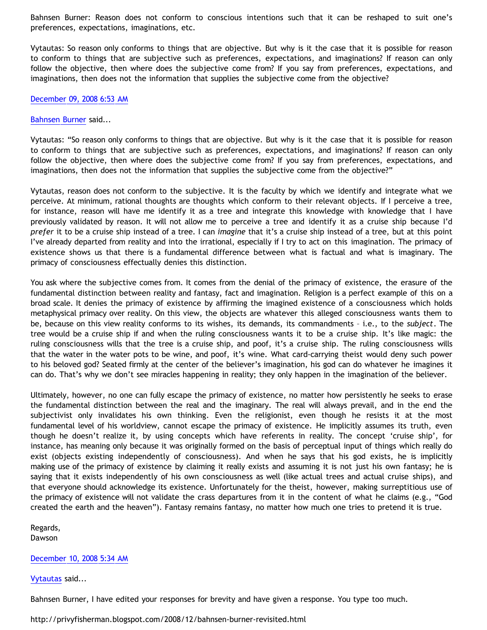Bahnsen Burner: Reason does not conform to conscious intentions such that it can be reshaped to suit one's preferences, expectations, imaginations, etc.

Vytautas: So reason only conforms to things that are objective. But why is it the case that it is possible for reason to conform to things that are subjective such as preferences, expectations, and imaginations? If reason can only follow the objective, then where does the subjective come from? If you say from preferences, expectations, and imaginations, then does not the information that supplies the subjective come from the objective?

## [December 09, 2008 6:53 AM](http://bahnsenburner.blogspot.com/2008/12/#7849904888417886014)

#### [Bahnsen Burner](http://www.blogger.com/profile/11030029491768748360) said...

Vytautas: "So reason only conforms to things that are objective. But why is it the case that it is possible for reason to conform to things that are subjective such as preferences, expectations, and imaginations? If reason can only follow the objective, then where does the subjective come from? If you say from preferences, expectations, and imaginations, then does not the information that supplies the subjective come from the objective?"

Vytautas, reason does not conform to the subjective. It is the faculty by which we identify and integrate what we perceive. At minimum, rational thoughts are thoughts which conform to their relevant objects. If I perceive a tree, for instance, reason will have me identify it as a tree and integrate this knowledge with knowledge that I have previously validated by reason. It will not allow me to perceive a tree and identify it as a cruise ship because I'd *prefer* it to be a cruise ship instead of a tree. I can *imagine* that it's a cruise ship instead of a tree, but at this point I've already departed from reality and into the irrational, especially if I try to act on this imagination. The primacy of existence shows us that there is a fundamental difference between what is factual and what is imaginary. The primacy of consciousness effectually denies this distinction.

You ask where the subjective comes from. It comes from the denial of the primacy of existence, the erasure of the fundamental distinction between reality and fantasy, fact and imagination. Religion is a perfect example of this on a broad scale. It denies the primacy of existence by affirming the imagined existence of a consciousness which holds metaphysical primacy over reality. On this view, the objects are whatever this alleged consciousness wants them to be, because on this view reality conforms to its wishes, its demands, its commandments – i.e., to the *subject*. The tree would be a cruise ship if and when the ruling consciousness wants it to be a cruise ship. It's like magic: the ruling consciousness wills that the tree is a cruise ship, and poof, it's a cruise ship. The ruling consciousness wills that the water in the water pots to be wine, and poof, it's wine. What card-carrying theist would deny such power to his beloved god? Seated firmly at the center of the believer's imagination, his god can do whatever he imagines it can do. That's why we don't see miracles happening in reality; they only happen in the imagination of the believer.

Ultimately, however, no one can fully escape the primacy of existence, no matter how persistently he seeks to erase the fundamental distinction between the real and the imaginary. The real will always prevail, and in the end the subjectivist only invalidates his own thinking. Even the religionist, even though he resists it at the most fundamental level of his worldview, cannot escape the primacy of existence. He implicitly assumes its truth, even though he doesn't realize it, by using concepts which have referents in reality. The concept 'cruise ship', for instance, has meaning only because it was originally formed on the basis of perceptual input of things which really do exist (objects existing independently of consciousness). And when he says that his god exists, he is implicitly making use of the primacy of existence by claiming it really exists and assuming it is not just his own fantasy; he is saying that it exists independently of his own consciousness as well (like actual trees and actual cruise ships), and that everyone should acknowledge its existence. Unfortunately for the theist, however, making surreptitious use of the primacy of existence will not validate the crass departures from it in the content of what he claims (e.g., "God created the earth and the heaven"). Fantasy remains fantasy, no matter how much one tries to pretend it is true.

Regards, Dawson

## [December 10, 2008 5:34 AM](http://bahnsenburner.blogspot.com/2008/12/#2810686596020684765)

[Vytautas](http://www.blogger.com/profile/10563655929016752682) said...

Bahnsen Burner, I have edited your responses for brevity and have given a response. You type too much.

<http://privyfisherman.blogspot.com/2008/12/bahnsen-burner-revisited.html>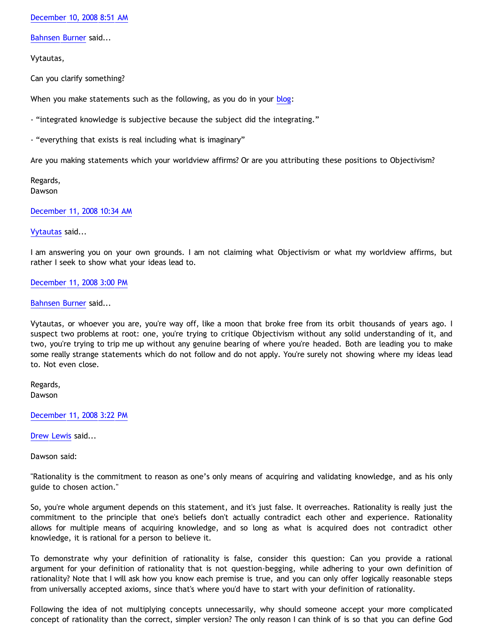[December 10, 2008 8:51 AM](http://bahnsenburner.blogspot.com/2008/12/#4007997306424042979)

[Bahnsen Burner](http://www.blogger.com/profile/11030029491768748360) said...

Vytautas,

Can you clarify something?

When you make statements such as the following, as you do in your [blog](http://privyfisherman.blogspot.com/2008/12/bahnsen-burner-revisited.html):

- "integrated knowledge is subjective because the subject did the integrating."

- "everything that exists is real including what is imaginary"

Are you making statements which your worldview affirms? Or are you attributing these positions to Objectivism?

Regards, Dawson

[December 11, 2008 10:34 AM](http://bahnsenburner.blogspot.com/2008/12/#3877336397709869220)

## [Vytautas](http://www.blogger.com/profile/10563655929016752682) said...

I am answering you on your own grounds. I am not claiming what Objectivism or what my worldview affirms, but rather I seek to show what your ideas lead to.

[December 11, 2008 3:00 PM](http://bahnsenburner.blogspot.com/2008/12/#3025540708838656003)

[Bahnsen Burner](http://www.blogger.com/profile/11030029491768748360) said...

Vytautas, or whoever you are, you're way off, like a moon that broke free from its orbit thousands of years ago. I suspect two problems at root: one, you're trying to critique Objectivism without any solid understanding of it, and two, you're trying to trip me up without any genuine bearing of where you're headed. Both are leading you to make some really strange statements which do not follow and do not apply. You're surely not showing where my ideas lead to. Not even close.

Regards, Dawson

[December 11, 2008 3:22 PM](http://bahnsenburner.blogspot.com/2008/12/#6687230176444721297)

[Drew Lewis](http://www.blogger.com/profile/06553828200280746250) said...

Dawson said:

"Rationality is the commitment to reason as one's only means of acquiring and validating knowledge, and as his only guide to chosen action."

So, you're whole argument depends on this statement, and it's just false. It overreaches. Rationality is really just the commitment to the principle that one's beliefs don't actually contradict each other and experience. Rationality allows for multiple means of acquiring knowledge, and so long as what is acquired does not contradict other knowledge, it is rational for a person to believe it.

To demonstrate why your definition of rationality is false, consider this question: Can you provide a rational argument for your definition of rationality that is not question-begging, while adhering to your own definition of rationality? Note that I will ask how you know each premise is true, and you can only offer logically reasonable steps from universally accepted axioms, since that's where you'd have to start with your definition of rationality.

Following the idea of not multiplying concepts unnecessarily, why should someone accept your more complicated concept of rationality than the correct, simpler version? The only reason I can think of is so that you can define God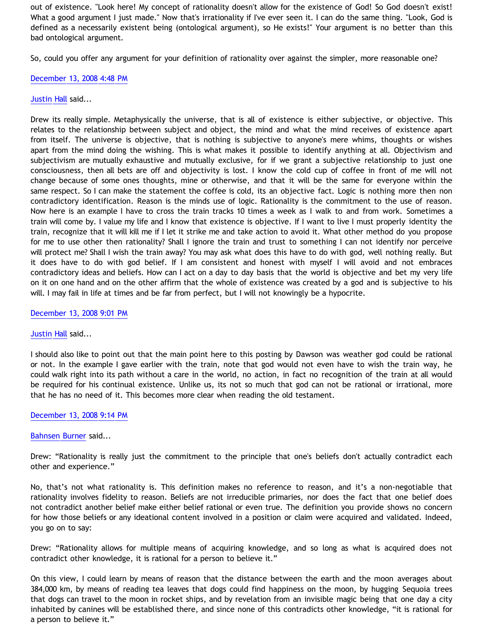out of existence. "Look here! My concept of rationality doesn't allow for the existence of God! So God doesn't exist! What a good argument I just made." Now that's irrationality if I've ever seen it. I can do the same thing. "Look, God is defined as a necessarily existent being (ontological argument), so He exists!" Your argument is no better than this bad ontological argument.

So, could you offer any argument for your definition of rationality over against the simpler, more reasonable one?

#### [December 13, 2008 4:48 PM](http://bahnsenburner.blogspot.com/2008/12/#3361485817945713414)

#### Justin H<mark>all</mark> said...

Drew its really simple. Metaphysically the universe, that is all of existence is either subjective, or objective. This relates to the relationship between subject and object, the mind and what the mind receives of existence apart from itself. The universe is objective, that is nothing is subjective to anyone's mere whims, thoughts or wishes apart from the mind doing the wishing. This is what makes it possible to identify anything at all. Objectivism and subjectivism are mutually exhaustive and mutually exclusive, for if we grant a subjective relationship to just one consciousness, then all bets are off and objectivity is lost. I know the cold cup of coffee in front of me will not change because of some ones thoughts, mine or otherwise, and that it will be the same for everyone within the same respect. So I can make the statement the coffee is cold, its an objective fact. Logic is nothing more then non contradictory identification. Reason is the minds use of logic. Rationality is the commitment to the use of reason. Now here is an example I have to cross the train tracks 10 times a week as I walk to and from work. Sometimes a train will come by. I value my life and I know that existence is objective. If I want to live I must properly identity the train, recognize that it will kill me if I let it strike me and take action to avoid it. What other method do you propose for me to use other then rationality? Shall I ignore the train and trust to something I can not identify nor perceive will protect me? Shall I wish the train away? You may ask what does this have to do with god, well nothing really. But it does have to do with god belief. If I am consistent and honest with myself I will avoid and not embraces contradictory ideas and beliefs. How can I act on a day to day basis that the world is objective and bet my very life on it on one hand and on the other affirm that the whole of existence was created by a god and is subjective to his will. I may fail in life at times and be far from perfect, but I will not knowingly be a hypocrite.

#### [December 13, 2008 9:01 PM](http://bahnsenburner.blogspot.com/2008/12/#4096131203339886759)

#### [Justin Hall](http://www.blogger.com/profile/17804641315202800289) said...

I should also like to point out that the main point here to this posting by Dawson was weather god could be rational or not. In the example I gave earlier with the train, note that god would not even have to wish the train way, he could walk right into its path without a care in the world, no action, in fact no recognition of the train at all would be required for his continual existence. Unlike us, its not so much that god can not be rational or irrational, more that he has no need of it. This becomes more clear when reading the old testament.

## [December 13, 2008 9:14 PM](http://bahnsenburner.blogspot.com/2008/12/#4400301646182207801)

## [Bahnsen Burner](http://www.blogger.com/profile/11030029491768748360) said...

Drew: "Rationality is really just the commitment to the principle that one's beliefs don't actually contradict each other and experience."

No, that's not what rationality is. This definition makes no reference to reason, and it's a non-negotiable that rationality involves fidelity to reason. Beliefs are not irreducible primaries, nor does the fact that one belief does not contradict another belief make either belief rational or even true. The definition you provide shows no concern for how those beliefs or any ideational content involved in a position or claim were acquired and validated. Indeed, you go on to say:

Drew: "Rationality allows for multiple means of acquiring knowledge, and so long as what is acquired does not contradict other knowledge, it is rational for a person to believe it."

On this view, I could learn by means of reason that the distance between the earth and the moon averages about 384,000 km, by means of reading tea leaves that dogs could find happiness on the moon, by hugging Sequoia trees that dogs can travel to the moon in rocket ships, and by revelation from an invisible magic being that one day a city inhabited by canines will be established there, and since none of this contradicts other knowledge, "it is rational for a person to believe it."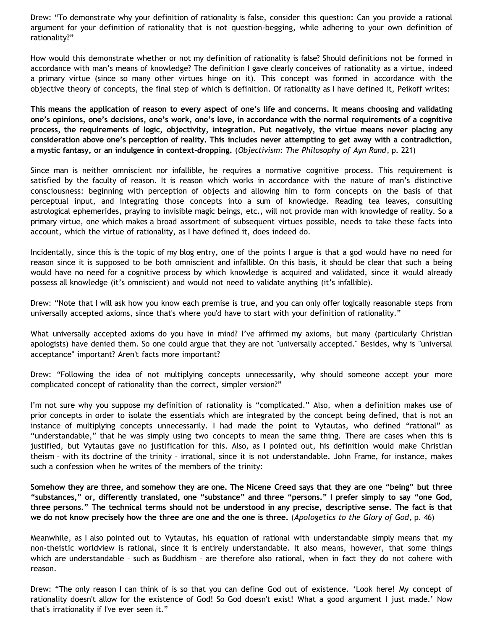Drew: "To demonstrate why your definition of rationality is false, consider this question: Can you provide a rational argument for your definition of rationality that is not question-begging, while adhering to your own definition of rationality?"

How would this demonstrate whether or not my definition of rationality is false? Should definitions not be formed in accordance with man's means of knowledge? The definition I gave clearly conceives of rationality as a virtue, indeed a primary virtue (since so many other virtues hinge on it). This concept was formed in accordance with the objective theory of concepts, the final step of which is definition. Of rationality as I have defined it, Peikoff writes:

**This means the application of reason to every aspect of one's life and concerns. It means choosing and validating one's opinions, one's decisions, one's work, one's love, in accordance with the normal requirements of a cognitive process, the requirements of logic, objectivity, integration. Put negatively, the virtue means never placing any consideration above one's perception of reality. This includes never attempting to get away with a contradiction, a mystic fantasy, or an indulgence in context-dropping.** (*Objectivism: The Philosophy of Ayn Rand*, p. 221)

Since man is neither omniscient nor infallible, he requires a normative cognitive process. This requirement is satisfied by the faculty of reason. It is reason which works in accordance with the nature of man's distinctive consciousness: beginning with perception of objects and allowing him to form concepts on the basis of that perceptual input, and integrating those concepts into a sum of knowledge. Reading tea leaves, consulting astrological ephemerides, praying to invisible magic beings, etc., will not provide man with knowledge of reality. So a primary virtue, one which makes a broad assortment of subsequent virtues possible, needs to take these facts into account, which the virtue of rationality, as I have defined it, does indeed do.

Incidentally, since this is the topic of my blog entry, one of the points I argue is that a god would have no need for reason since it is supposed to be both omniscient and infallible. On this basis, it should be clear that such a being would have no need for a cognitive process by which knowledge is acquired and validated, since it would already possess all knowledge (it's omniscient) and would not need to validate anything (it's infallible).

Drew: "Note that I will ask how you know each premise is true, and you can only offer logically reasonable steps from universally accepted axioms, since that's where you'd have to start with your definition of rationality."

What universally accepted axioms do you have in mind? I've affirmed my axioms, but many (particularly Christian apologists) have denied them. So one could argue that they are not "universally accepted." Besides, why is "universal acceptance" important? Aren't facts more important?

Drew: "Following the idea of not multiplying concepts unnecessarily, why should someone accept your more complicated concept of rationality than the correct, simpler version?"

I'm not sure why you suppose my definition of rationality is "complicated." Also, when a definition makes use of prior concepts in order to isolate the essentials which are integrated by the concept being defined, that is not an instance of multiplying concepts unnecessarily. I had made the point to Vytautas, who defined "rational" as "understandable," that he was simply using two concepts to mean the same thing. There are cases when this is justified, but Vytautas gave no justification for this. Also, as I pointed out, his definition would make Christian theism – with its doctrine of the trinity – irrational, since it is not understandable. John Frame, for instance, makes such a confession when he writes of the members of the trinity:

**Somehow they are three, and somehow they are one. The Nicene Creed says that they are one "being" but three "substances," or, differently translated, one "substance" and three "persons." I prefer simply to say "one God, three persons." The technical terms should not be understood in any precise, descriptive sense. The fact is that we do not know precisely how the three are one and the one is three.** (*Apologetics to the Glory of God*, p. 46)

Meanwhile, as I also pointed out to Vytautas, his equation of rational with understandable simply means that my non-theistic worldview is rational, since it is entirely understandable. It also means, however, that some things which are understandable – such as Buddhism – are therefore also rational, when in fact they do not cohere with reason.

Drew: "The only reason I can think of is so that you can define God out of existence. 'Look here! My concept of rationality doesn't allow for the existence of God! So God doesn't exist! What a good argument I just made.' Now that's irrationality if I've ever seen it."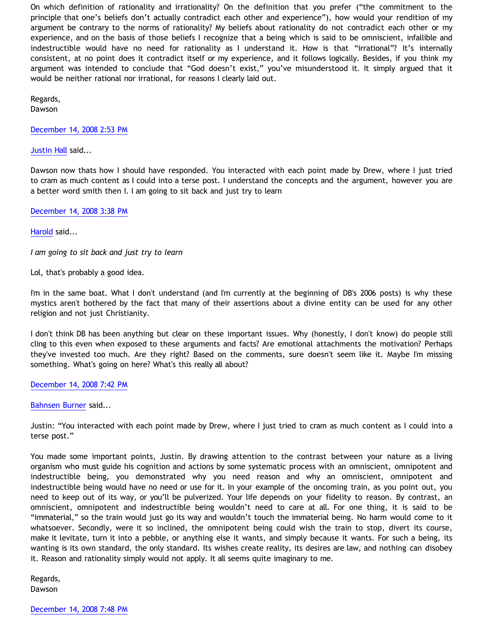On which definition of rationality and irrationality? On the definition that you prefer ("the commitment to the principle that one's beliefs don't actually contradict each other and experience"), how would your rendition of my argument be contrary to the norms of rationality? My beliefs about rationality do not contradict each other or my experience, and on the basis of those beliefs I recognize that a being which is said to be omniscient, infallible and indestructible would have no need for rationality as I understand it. How is that "irrational"? It's internally consistent, at no point does it contradict itself or my experience, and it follows logically. Besides, if you think my argument was intended to conclude that "God doesn't exist," you've misunderstood it. It simply argued that it would be neither rational nor irrational, for reasons I clearly laid out.

Regards, Dawson

[December 14, 2008 2:53 PM](http://bahnsenburner.blogspot.com/2008/12/#5967928987441587871)

[Justin Hall](http://www.blogger.com/profile/17804641315202800289) said...

Dawson now thats how I should have responded. You interacted with each point made by Drew, where I just tried to cram as much content as I could into a terse post. I understand the concepts and the argument, however you are a better word smith then I. I am going to sit back and just try to learn

[December 14, 2008 3:38 PM](http://bahnsenburner.blogspot.com/2008/12/#4067839698790343728)

[Harold](http://www.blogger.com/profile/10897769844874861468) said...

*I am going to sit back and just try to learn*

Lol, that's probably a good idea.

I'm in the same boat. What I don't understand (and I'm currently at the beginning of DB's 2006 posts) is why these mystics aren't bothered by the fact that many of their assertions about a divine entity can be used for any other religion and not just Christianity.

I don't think DB has been anything but clear on these important issues. Why (honestly, I don't know) do people still cling to this even when exposed to these arguments and facts? Are emotional attachments the motivation? Perhaps they've invested too much. Are they right? Based on the comments, sure doesn't seem like it. Maybe I'm missing something. What's going on here? What's this really all about?

[December 14, 2008 7:42 PM](http://bahnsenburner.blogspot.com/2008/12/#5644631978975357579)

[Bahnsen Burner](http://www.blogger.com/profile/11030029491768748360) said...

Justin: "You interacted with each point made by Drew, where I just tried to cram as much content as I could into a terse post."

You made some important points, Justin. By drawing attention to the contrast between your nature as a living organism who must guide his cognition and actions by some systematic process with an omniscient, omnipotent and indestructible being, you demonstrated why you need reason and why an omniscient, omnipotent and indestructible being would have no need or use for it. In your example of the oncoming train, as you point out, you need to keep out of its way, or you'll be pulverized. Your life depends on your fidelity to reason. By contrast, an omniscient, omnipotent and indestructible being wouldn't need to care at all. For one thing, it is said to be "immaterial," so the train would just go its way and wouldn't touch the immaterial being. No harm would come to it whatsoever. Secondly, were it so inclined, the omnipotent being could wish the train to stop, divert its course, make it levitate, turn it into a pebble, or anything else it wants, and simply because it wants. For such a being, its wanting is its own standard, the only standard. Its wishes create reality, its desires are law, and nothing can disobey it. Reason and rationality simply would not apply. It all seems quite imaginary to me.

Regards, Dawson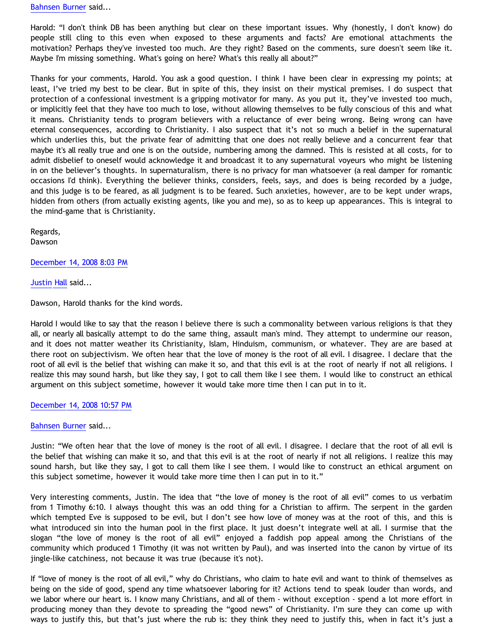[Bahnsen Burner](http://www.blogger.com/profile/11030029491768748360) said...

Harold: "I don't think DB has been anything but clear on these important issues. Why (honestly, I don't know) do people still cling to this even when exposed to these arguments and facts? Are emotional attachments the motivation? Perhaps they've invested too much. Are they right? Based on the comments, sure doesn't seem like it. Maybe I'm missing something. What's going on here? What's this really all about?"

Thanks for your comments, Harold. You ask a good question. I think I have been clear in expressing my points; at least, I've tried my best to be clear. But in spite of this, they insist on their mystical premises. I do suspect that protection of a confessional investment is a gripping motivator for many. As you put it, they've invested too much, or implicitly feel that they have too much to lose, without allowing themselves to be fully conscious of this and what it means. Christianity tends to program believers with a reluctance of ever being wrong. Being wrong can have eternal consequences, according to Christianity. I also suspect that it's not so much a belief in the supernatural which underlies this, but the private fear of admitting that one does not really believe and a concurrent fear that maybe it's all really true and one is on the outside, numbering among the damned. This is resisted at all costs, for to admit disbelief to oneself would acknowledge it and broadcast it to any supernatural voyeurs who might be listening in on the believer's thoughts. In supernaturalism, there is no privacy for man whatsoever (a real damper for romantic occasions I'd think). Everything the believer thinks, considers, feels, says, and does is being recorded by a judge, and this judge is to be feared, as all judgment is to be feared. Such anxieties, however, are to be kept under wraps, hidden from others (from actually existing agents, like you and me), so as to keep up appearances. This is integral to the mind-game that is Christianity.

Regards, Dawson

[December 14, 2008 8:03 PM](http://bahnsenburner.blogspot.com/2008/12/#4474139012133692067)

[Justin Hall](http://www.blogger.com/profile/17804641315202800289) said...

Dawson, Harold thanks for the kind words.

Harold I would like to say that the reason I believe there is such a commonality between various religions is that they all, or nearly all basically attempt to do the same thing, assault man's mind. They attempt to undermine our reason, and it does not matter weather its Christianity, Islam, Hinduism, communism, or whatever. They are are based at there root on subjectivism. We often hear that the love of money is the root of all evil. I disagree. I declare that the root of all evil is the belief that wishing can make it so, and that this evil is at the root of nearly if not all religions. I realize this may sound harsh, but like they say, I got to call them like I see them. I would like to construct an ethical argument on this subject sometime, however it would take more time then I can put in to it.

## [December 14, 2008 10:57 PM](http://bahnsenburner.blogspot.com/2008/12/#8481729868131186782)

## [Bahnsen Burner](http://www.blogger.com/profile/11030029491768748360) said...

Justin: "We often hear that the love of money is the root of all evil. I disagree. I declare that the root of all evil is the belief that wishing can make it so, and that this evil is at the root of nearly if not all religions. I realize this may sound harsh, but like they say, I got to call them like I see them. I would like to construct an ethical argument on this subject sometime, however it would take more time then I can put in to it."

Very interesting comments, Justin. The idea that "the love of money is the root of all evil" comes to us verbatim from 1 Timothy 6:10. I always thought this was an odd thing for a Christian to affirm. The serpent in the garden which tempted Eve is supposed to be evil, but I don't see how love of money was at the root of this, and this is what introduced sin into the human pool in the first place. It just doesn't integrate well at all. I surmise that the slogan "the love of money is the root of all evil" enjoyed a faddish pop appeal among the Christians of the community which produced 1 Timothy (it was not written by Paul), and was inserted into the canon by virtue of its jingle-like catchiness, not because it was true (because it's not).

If "love of money is the root of all evil," why do Christians, who claim to hate evil and want to think of themselves as being on the side of good, spend any time whatsoever laboring for it? Actions tend to speak louder than words, and we labor where our heart is. I know many Christians, and all of them - without exception - spend a lot more effort in producing money than they devote to spreading the "good news" of Christianity. I'm sure they can come up with ways to justify this, but that's just where the rub is: they think they need to justify this, when in fact it's just a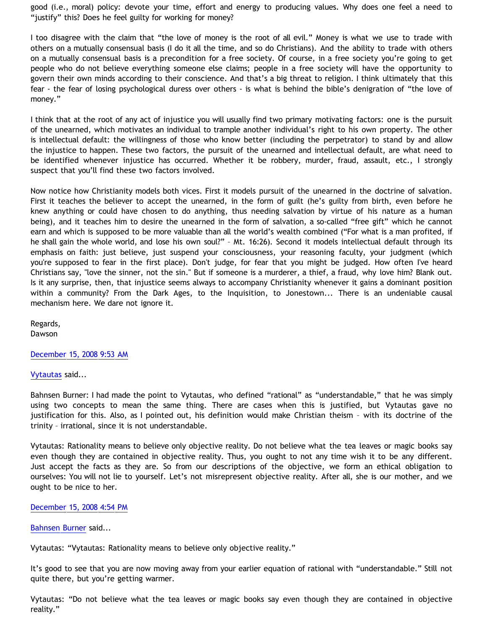good (i.e., moral) policy: devote your time, effort and energy to producing values. Why does one feel a need to "justify" this? Does he feel guilty for working for money?

I too disagree with the claim that "the love of money is the root of all evil." Money is what we use to trade with others on a mutually consensual basis (I do it all the time, and so do Christians). And the ability to trade with others on a mutually consensual basis is a precondition for a free society. Of course, in a free society you're going to get people who do not believe everything someone else claims; people in a free society will have the opportunity to govern their own minds according to their conscience. And that's a big threat to religion. I think ultimately that this fear - the fear of losing psychological duress over others - is what is behind the bible's denigration of "the love of money."

I think that at the root of any act of injustice you will usually find two primary motivating factors: one is the pursuit of the unearned, which motivates an individual to trample another individual's right to his own property. The other is intellectual default: the willingness of those who know better (including the perpetrator) to stand by and allow the injustice to happen. These two factors, the pursuit of the unearned and intellectual default, are what need to be identified whenever injustice has occurred. Whether it be robbery, murder, fraud, assault, etc., I strongly suspect that you'll find these two factors involved.

Now notice how Christianity models both vices. First it models pursuit of the unearned in the doctrine of salvation. First it teaches the believer to accept the unearned, in the form of guilt (he's guilty from birth, even before he knew anything or could have chosen to do anything, thus needing salvation by virtue of his nature as a human being), and it teaches him to desire the unearned in the form of salvation, a so-called "free gift" which he cannot earn and which is supposed to be more valuable than all the world's wealth combined ("For what is a man profited, if he shall gain the whole world, and lose his own soul?" – Mt. 16:26). Second it models intellectual default through its emphasis on faith: just believe, just suspend your consciousness, your reasoning faculty, your judgment (which you're supposed to fear in the first place). Don't judge, for fear that you might be judged. How often I've heard Christians say, "love the sinner, not the sin." But if someone is a murderer, a thief, a fraud, why love him? Blank out. Is it any surprise, then, that injustice seems always to accompany Christianity whenever it gains a dominant position within a community? From the Dark Ages, to the Inquisition, to Jonestown... There is an undeniable causal mechanism here. We dare not ignore it.

Regards, Dawson

[December 15, 2008 9:53 AM](http://bahnsenburner.blogspot.com/2008/12/#1474354580080539714)

[Vytautas](http://www.blogger.com/profile/10563655929016752682) said...

Bahnsen Burner: I had made the point to Vytautas, who defined "rational" as "understandable," that he was simply using two concepts to mean the same thing. There are cases when this is justified, but Vytautas gave no justification for this. Also, as I pointed out, his definition would make Christian theism – with its doctrine of the trinity – irrational, since it is not understandable.

Vytautas: Rationality means to believe only objective reality. Do not believe what the tea leaves or magic books say even though they are contained in objective reality. Thus, you ought to not any time wish it to be any different. Just accept the facts as they are. So from our descriptions of the objective, we form an ethical obligation to ourselves: You will not lie to yourself. Let's not misrepresent objective reality. After all, she is our mother, and we ought to be nice to her.

## [December 15, 2008 4:54 PM](http://bahnsenburner.blogspot.com/2008/12/#997758024569806287)

[Bahnsen Burner](http://www.blogger.com/profile/11030029491768748360) said...

Vytautas: "Vytautas: Rationality means to believe only objective reality."

It's good to see that you are now moving away from your earlier equation of rational with "understandable." Still not quite there, but you're getting warmer.

Vytautas: "Do not believe what the tea leaves or magic books say even though they are contained in objective reality."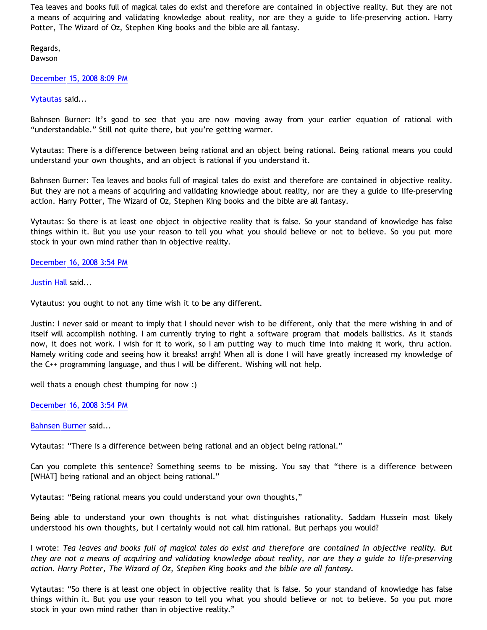Tea leaves and books full of magical tales do exist and therefore are contained in objective reality. But they are not a means of acquiring and validating knowledge about reality, nor are they a guide to life-preserving action. Harry Potter, The Wizard of Oz, Stephen King books and the bible are all fantasy.

Regards, Dawson

[December 15, 2008 8:09 PM](http://bahnsenburner.blogspot.com/2008/12/#4409128219218284260)

[Vytautas](http://www.blogger.com/profile/10563655929016752682) said...

Bahnsen Burner: It's good to see that you are now moving away from your earlier equation of rational with "understandable." Still not quite there, but you're getting warmer.

Vytautas: There is a difference between being rational and an object being rational. Being rational means you could understand your own thoughts, and an object is rational if you understand it.

Bahnsen Burner: Tea leaves and books full of magical tales do exist and therefore are contained in objective reality. But they are not a means of acquiring and validating knowledge about reality, nor are they a guide to life-preserving action. Harry Potter, The Wizard of Oz, Stephen King books and the bible are all fantasy.

Vytautas: So there is at least one object in objective reality that is false. So your standand of knowledge has false things within it. But you use your reason to tell you what you should believe or not to believe. So you put more stock in your own mind rather than in objective reality.

[December 16, 2008 3:54 PM](http://bahnsenburner.blogspot.com/2008/12/#4469780427995041457)

Justin H<mark>all</mark> said...

Vytautus: you ought to not any time wish it to be any different.

Justin: I never said or meant to imply that I should never wish to be different, only that the mere wishing in and of itself will accomplish nothing. I am currently trying to right a software program that models ballistics. As it stands now, it does not work. I wish for it to work, so I am putting way to much time into making it work, thru action. Namely writing code and seeing how it breaks! arrgh! When all is done I will have greatly increased my knowledge of the C++ programming language, and thus I will be different. Wishing will not help.

well thats a enough chest thumping for now :)

[December 16, 2008 3:54 PM](http://bahnsenburner.blogspot.com/2008/12/#1431971051719903503)

[Bahnsen Burner](http://www.blogger.com/profile/11030029491768748360) said...

Vytautas: "There is a difference between being rational and an object being rational."

Can you complete this sentence? Something seems to be missing. You say that "there is a difference between [WHAT] being rational and an object being rational."

Vytautas: "Being rational means you could understand your own thoughts,"

Being able to understand your own thoughts is not what distinguishes rationality. Saddam Hussein most likely understood his own thoughts, but I certainly would not call him rational. But perhaps you would?

I wrote: *Tea leaves and books full of magical tales do exist and therefore are contained in objective reality. But they are not a means of acquiring and validating knowledge about reality, nor are they a guide to life-preserving action. Harry Potter, The Wizard of Oz, Stephen King books and the bible are all fantasy.*

Vytautas: "So there is at least one object in objective reality that is false. So your standand of knowledge has false things within it. But you use your reason to tell you what you should believe or not to believe. So you put more stock in your own mind rather than in objective reality."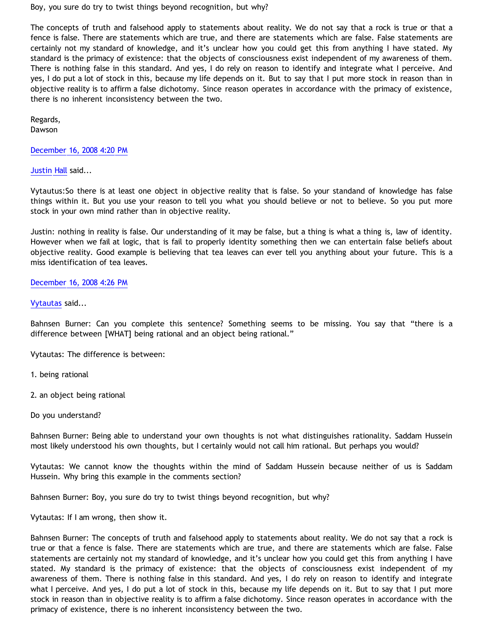Boy, you sure do try to twist things beyond recognition, but why?

The concepts of truth and falsehood apply to statements about reality. We do not say that a rock is true or that a fence is false. There are statements which are true, and there are statements which are false. False statements are certainly not my standard of knowledge, and it's unclear how you could get this from anything I have stated. My standard is the primacy of existence: that the objects of consciousness exist independent of my awareness of them. There is nothing false in this standard. And yes, I do rely on reason to identify and integrate what I perceive. And yes, I do put a lot of stock in this, because my life depends on it. But to say that I put more stock in reason than in objective reality is to affirm a false dichotomy. Since reason operates in accordance with the primacy of existence, there is no inherent inconsistency between the two.

Regards, Dawson

[December 16, 2008 4:20 PM](http://bahnsenburner.blogspot.com/2008/12/#4214848478765592745)

[Justin Hall](http://www.blogger.com/profile/17804641315202800289) said...

Vytautus:So there is at least one object in objective reality that is false. So your standand of knowledge has false things within it. But you use your reason to tell you what you should believe or not to believe. So you put more stock in your own mind rather than in objective reality.

Justin: nothing in reality is false. Our understanding of it may be false, but a thing is what a thing is, law of identity. However when we fail at logic, that is fail to properly identity something then we can entertain false beliefs about objective reality. Good example is believing that tea leaves can ever tell you anything about your future. This is a miss identification of tea leaves.

# [December 16, 2008 4:26 PM](http://bahnsenburner.blogspot.com/2008/12/#2378312348268612499)

# [Vytautas](http://www.blogger.com/profile/10563655929016752682) said...

Bahnsen Burner: Can you complete this sentence? Something seems to be missing. You say that "there is a difference between [WHAT] being rational and an object being rational."

Vytautas: The difference is between:

1. being rational

2. an object being rational

Do you understand?

Bahnsen Burner: Being able to understand your own thoughts is not what distinguishes rationality. Saddam Hussein most likely understood his own thoughts, but I certainly would not call him rational. But perhaps you would?

Vytautas: We cannot know the thoughts within the mind of Saddam Hussein because neither of us is Saddam Hussein. Why bring this example in the comments section?

Bahnsen Burner: Boy, you sure do try to twist things beyond recognition, but why?

Vytautas: If I am wrong, then show it.

Bahnsen Burner: The concepts of truth and falsehood apply to statements about reality. We do not say that a rock is true or that a fence is false. There are statements which are true, and there are statements which are false. False statements are certainly not my standard of knowledge, and it's unclear how you could get this from anything I have stated. My standard is the primacy of existence: that the objects of consciousness exist independent of my awareness of them. There is nothing false in this standard. And yes, I do rely on reason to identify and integrate what I perceive. And yes, I do put a lot of stock in this, because my life depends on it. But to say that I put more stock in reason than in objective reality is to affirm a false dichotomy. Since reason operates in accordance with the primacy of existence, there is no inherent inconsistency between the two.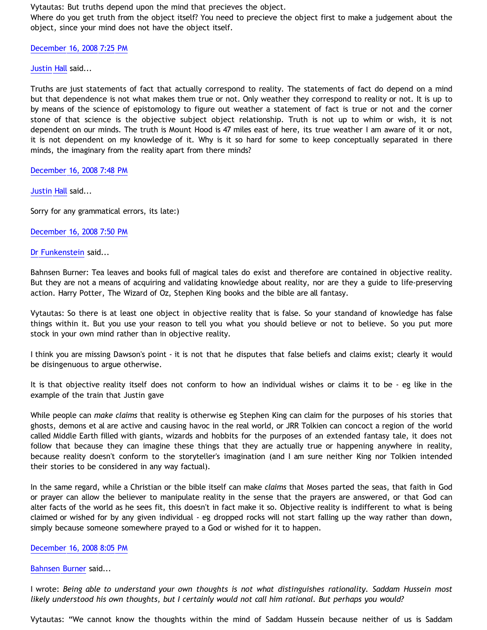Vytautas: But truths depend upon the mind that precieves the object.

Where do you get truth from the object itself? You need to precieve the object first to make a judgement about the object, since your mind does not have the object itself.

[December 16, 2008 7:25 PM](http://bahnsenburner.blogspot.com/2008/12/#2798209371847717417)

[Justin Hall](http://www.blogger.com/profile/17804641315202800289) said...

Truths are just statements of fact that actually correspond to reality. The statements of fact do depend on a mind but that dependence is not what makes them true or not. Only weather they correspond to reality or not. It is up to by means of the science of epistomology to figure out weather a statement of fact is true or not and the corner stone of that science is the objective subject object relationship. Truth is not up to whim or wish, it is not dependent on our minds. The truth is Mount Hood is 47 miles east of here, its true weather I am aware of it or not, it is not dependent on my knowledge of it. Why is it so hard for some to keep conceptually separated in there minds, the imaginary from the reality apart from there minds?

[December 16, 2008 7:48 PM](http://bahnsenburner.blogspot.com/2008/12/#1183415233978787057)

[Justin Hall](http://www.blogger.com/profile/17804641315202800289) said...

Sorry for any grammatical errors, its late:)

[December 16, 2008 7:50 PM](http://bahnsenburner.blogspot.com/2008/12/#4545269908960977704)

[Dr Funkenstein](http://www.blogger.com/profile/03620894198842461714) said...

Bahnsen Burner: Tea leaves and books full of magical tales do exist and therefore are contained in objective reality. But they are not a means of acquiring and validating knowledge about reality, nor are they a guide to life-preserving action. Harry Potter, The Wizard of Oz, Stephen King books and the bible are all fantasy.

Vytautas: So there is at least one object in objective reality that is false. So your standand of knowledge has false things within it. But you use your reason to tell you what you should believe or not to believe. So you put more stock in your own mind rather than in objective reality.

I think you are missing Dawson's point - it is not that he disputes that false beliefs and claims exist; clearly it would be disingenuous to argue otherwise.

It is that objective reality itself does not conform to how an individual wishes or claims it to be - eg like in the example of the train that Justin gave

While people can *make claims* that reality is otherwise eg Stephen King can claim for the purposes of his stories that ghosts, demons et al are active and causing havoc in the real world, or JRR Tolkien can concoct a region of the world called Middle Earth filled with giants, wizards and hobbits for the purposes of an extended fantasy tale, it does not follow that because they can imagine these things that they are actually true or happening anywhere in reality, because reality doesn't conform to the storyteller's imagination (and I am sure neither King nor Tolkien intended their stories to be considered in any way factual).

In the same regard, while a Christian or the bible itself can make *claims* that Moses parted the seas, that faith in God or prayer can allow the believer to manipulate reality in the sense that the prayers are answered, or that God can alter facts of the world as he sees fit, this doesn't in fact make it so. Objective reality is indifferent to what is being claimed or wished for by any given individual - eg dropped rocks will not start falling up the way rather than down, simply because someone somewhere prayed to a God or wished for it to happen.

[December 16, 2008 8:05 PM](http://bahnsenburner.blogspot.com/2008/12/#6083941787846053217)

[Bahnsen Burner](http://www.blogger.com/profile/11030029491768748360) said...

I wrote: *Being able to understand your own thoughts is not what distinguishes rationality. Saddam Hussein most likely understood his own thoughts, but I certainly would not call him rational. But perhaps you would?*

Vytautas: "We cannot know the thoughts within the mind of Saddam Hussein because neither of us is Saddam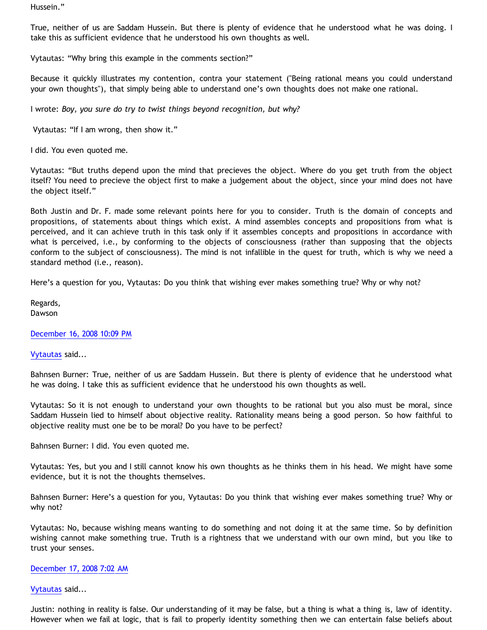Hussein."

True, neither of us are Saddam Hussein. But there is plenty of evidence that he understood what he was doing. I take this as sufficient evidence that he understood his own thoughts as well.

Vytautas: "Why bring this example in the comments section?"

Because it quickly illustrates my contention, contra your statement ("Being rational means you could understand your own thoughts"), that simply being able to understand one's own thoughts does not make one rational.

I wrote: *Boy, you sure do try to twist things beyond recognition, but why?*

Vytautas: "If I am wrong, then show it."

I did. You even quoted me.

Vytautas: "But truths depend upon the mind that precieves the object. Where do you get truth from the object itself? You need to precieve the object first to make a judgement about the object, since your mind does not have the object itself."

Both Justin and Dr. F. made some relevant points here for you to consider. Truth is the domain of concepts and propositions, of statements about things which exist. A mind assembles concepts and propositions from what is perceived, and it can achieve truth in this task only if it assembles concepts and propositions in accordance with what is perceived, i.e., by conforming to the objects of consciousness (rather than supposing that the objects conform to the subject of consciousness). The mind is not infallible in the quest for truth, which is why we need a standard method (i.e., reason).

Here's a question for you, Vytautas: Do you think that wishing ever makes something true? Why or why not?

Regards, Dawson

[December 16, 2008 10:09 PM](http://bahnsenburner.blogspot.com/2008/12/#522655238400834337)

[Vytautas](http://www.blogger.com/profile/10563655929016752682) said...

Bahnsen Burner: True, neither of us are Saddam Hussein. But there is plenty of evidence that he understood what he was doing. I take this as sufficient evidence that he understood his own thoughts as well.

Vytautas: So it is not enough to understand your own thoughts to be rational but you also must be moral, since Saddam Hussein lied to himself about objective reality. Rationality means being a good person. So how faithful to objective reality must one be to be moral? Do you have to be perfect?

Bahnsen Burner: I did. You even quoted me.

Vytautas: Yes, but you and I still cannot know his own thoughts as he thinks them in his head. We might have some evidence, but it is not the thoughts themselves.

Bahnsen Burner: Here's a question for you, Vytautas: Do you think that wishing ever makes something true? Why or why not?

Vytautas: No, because wishing means wanting to do something and not doing it at the same time. So by definition wishing cannot make something true. Truth is a rightness that we understand with our own mind, but you like to trust your senses.

# [December 17, 2008 7:02 AM](http://bahnsenburner.blogspot.com/2008/12/#5890223608802796465)

[Vytautas](http://www.blogger.com/profile/10563655929016752682) said...

Justin: nothing in reality is false. Our understanding of it may be false, but a thing is what a thing is, law of identity. However when we fail at logic, that is fail to properly identity something then we can entertain false beliefs about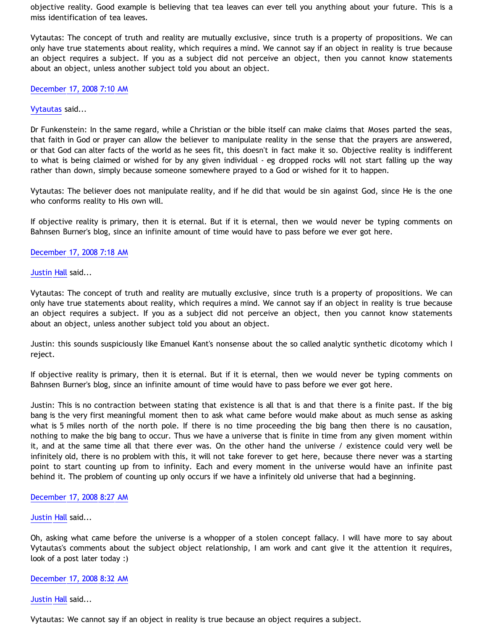objective reality. Good example is believing that tea leaves can ever tell you anything about your future. This is a miss identification of tea leaves.

Vytautas: The concept of truth and reality are mutually exclusive, since truth is a property of propositions. We can only have true statements about reality, which requires a mind. We cannot say if an object in reality is true because an object requires a subject. If you as a subject did not perceive an object, then you cannot know statements about an object, unless another subject told you about an object.

[December 17, 2008 7:10 AM](http://bahnsenburner.blogspot.com/2008/12/#660770226982800453)

# [Vytautas](http://www.blogger.com/profile/10563655929016752682) said...

Dr Funkenstein: In the same regard, while a Christian or the bible itself can make claims that Moses parted the seas, that faith in God or prayer can allow the believer to manipulate reality in the sense that the prayers are answered, or that God can alter facts of the world as he sees fit, this doesn't in fact make it so. Objective reality is indifferent to what is being claimed or wished for by any given individual - eg dropped rocks will not start falling up the way rather than down, simply because someone somewhere prayed to a God or wished for it to happen.

Vytautas: The believer does not manipulate reality, and if he did that would be sin against God, since He is the one who conforms reality to His own will.

If objective reality is primary, then it is eternal. But if it is eternal, then we would never be typing comments on Bahnsen Burner's blog, since an infinite amount of time would have to pass before we ever got here.

# [December 17, 2008 7:18 AM](http://bahnsenburner.blogspot.com/2008/12/#2282906591967863986)

## [Justin Hall](http://www.blogger.com/profile/17804641315202800289) said...

Vytautas: The concept of truth and reality are mutually exclusive, since truth is a property of propositions. We can only have true statements about reality, which requires a mind. We cannot say if an object in reality is true because an object requires a subject. If you as a subject did not perceive an object, then you cannot know statements about an object, unless another subject told you about an object.

Justin: this sounds suspiciously like Emanuel Kant's nonsense about the so called analytic synthetic dicotomy which I reject.

If objective reality is primary, then it is eternal. But if it is eternal, then we would never be typing comments on Bahnsen Burner's blog, since an infinite amount of time would have to pass before we ever got here.

Justin: This is no contraction between stating that existence is all that is and that there is a finite past. If the big bang is the very first meaningful moment then to ask what came before would make about as much sense as asking what is 5 miles north of the north pole. If there is no time proceeding the big bang then there is no causation, nothing to make the big bang to occur. Thus we have a universe that is finite in time from any given moment within it, and at the same time all that there ever was. On the other hand the universe / existence could very well be infinitely old, there is no problem with this, it will not take forever to get here, because there never was a starting point to start counting up from to infinity. Each and every moment in the universe would have an infinite past behind it. The problem of counting up only occurs if we have a infinitely old universe that had a beginning.

## [December 17, 2008 8:27 AM](http://bahnsenburner.blogspot.com/2008/12/#544857753223779851)

## [Justin Hall](http://www.blogger.com/profile/17804641315202800289) said...

Oh, asking what came before the universe is a whopper of a stolen concept fallacy. I will have more to say about Vytautas's comments about the subject object relationship, I am work and cant give it the attention it requires, look of a post later today :)

#### [December 17, 2008 8:32 AM](http://bahnsenburner.blogspot.com/2008/12/#2869494502134369338)

[Justin Hall](http://www.blogger.com/profile/17804641315202800289) said...

Vytautas: We cannot say if an object in reality is true because an object requires a subject.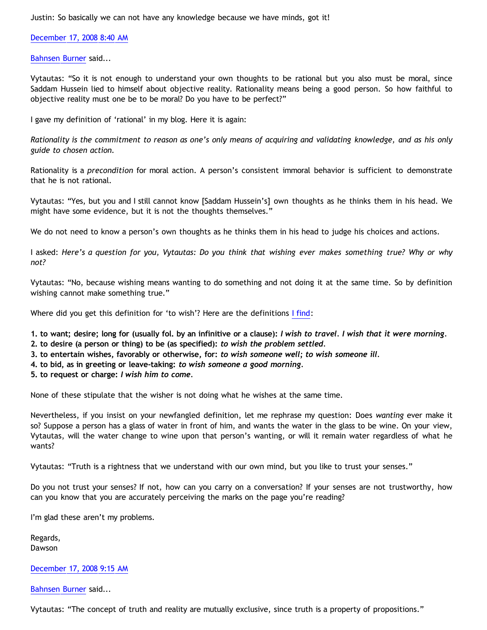Justin: So basically we can not have any knowledge because we have minds, got it!

[December 17, 2008 8:40 AM](http://bahnsenburner.blogspot.com/2008/12/#2687588387279008279)

[Bahnsen Burner](http://www.blogger.com/profile/11030029491768748360) said...

Vytautas: "So it is not enough to understand your own thoughts to be rational but you also must be moral, since Saddam Hussein lied to himself about objective reality. Rationality means being a good person. So how faithful to objective reality must one be to be moral? Do you have to be perfect?"

I gave my definition of 'rational' in my blog. Here it is again:

*Rationality is the commitment to reason as one's only means of acquiring and validating knowledge, and as his only guide to chosen action.*

Rationality is a *precondition* for moral action. A person's consistent immoral behavior is sufficient to demonstrate that he is not rational.

Vytautas: "Yes, but you and I still cannot know [Saddam Hussein's] own thoughts as he thinks them in his head. We might have some evidence, but it is not the thoughts themselves."

We do not need to know a person's own thoughts as he thinks them in his head to judge his choices and actions.

I asked: *Here's a question for you, Vytautas: Do you think that wishing ever makes something true? Why or why not?*

Vytautas: "No, because wishing means wanting to do something and not doing it at the same time. So by definition wishing cannot make something true."

Where did you get this definition for 'to wish'? Here are the definitions [I find:](http://dictionary.reference.com/browse/wish)

**1. to want; desire; long for (usually fol. by an infinitive or a clause):** *I wish to travel. I wish that it were morning.*

- **2. to desire (a person or thing) to be (as specified):** *to wish the problem settled.*
- **3. to entertain wishes, favorably or otherwise, for:** *to wish someone well; to wish someone ill.*
- **4. to bid, as in greeting or leave-taking:** *to wish someone a good morning.*
- **5. to request or charge:** *I wish him to come.*

None of these stipulate that the wisher is not doing what he wishes at the same time.

Nevertheless, if you insist on your newfangled definition, let me rephrase my question: Does *wanting* ever make it so? Suppose a person has a glass of water in front of him, and wants the water in the glass to be wine. On your view, Vytautas, will the water change to wine upon that person's wanting, or will it remain water regardless of what he wants?

Vytautas: "Truth is a rightness that we understand with our own mind, but you like to trust your senses."

Do you not trust your senses? If not, how can you carry on a conversation? If your senses are not trustworthy, how can you know that you are accurately perceiving the marks on the page you're reading?

I'm glad these aren't my problems.

Regards, Dawson

# [December 17, 2008 9:15 AM](http://bahnsenburner.blogspot.com/2008/12/#4618445703253325128)

[Bahnsen Burner](http://www.blogger.com/profile/11030029491768748360) said...

Vytautas: "The concept of truth and reality are mutually exclusive, since truth is a property of propositions."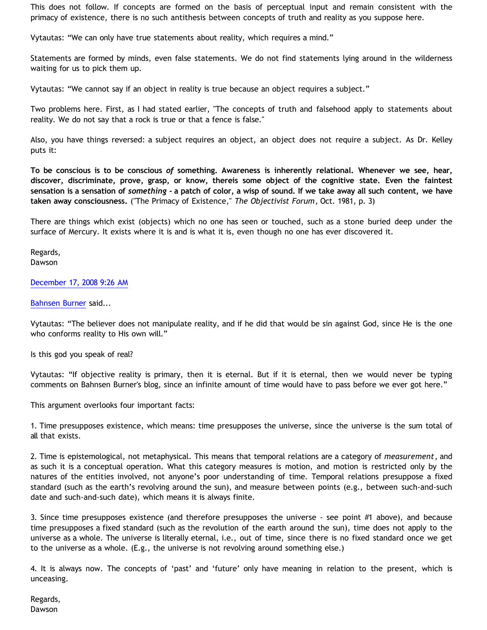This does not follow. If concepts are formed on the basis of perceptual input and remain consistent with the primacy of existence, there is no such antithesis between concepts of truth and reality as you suppose here.

Vytautas: "We can only have true statements about reality, which requires a mind."

Statements are formed by minds, even false statements. We do not find statements lying around in the wilderness waiting for us to pick them up.

Vytautas: "We cannot say if an object in reality is true because an object requires a subject."

Two problems here. First, as I had stated earlier, "The concepts of truth and falsehood apply to statements about reality. We do not say that a rock is true or that a fence is false."

Also, you have things reversed: a subject requires an object, an object does not require a subject. As Dr. Kelley puts it:

**To be conscious is to be conscious** *of* **something. Awareness is inherently relational. Whenever we see, hear, discover, discriminate, prove, grasp, or know, thereis some object of the cognitive state. Even the faintest sensation is a sensation of** *something* **- a patch of color, a wisp of sound. If we take away all such content, we have taken away consciousness.** ("The Primacy of Existence," *The Objectivist Forum*, Oct. 1981, p. 3)

There are things which exist (objects) which no one has seen or touched, such as a stone buried deep under the surface of Mercury. It exists where it is and is what it is, even though no one has ever discovered it.

Regards, Dawson

[December 17, 2008 9:26 AM](http://bahnsenburner.blogspot.com/2008/12/#4524870685194453098)

[Bahnsen Burner](http://www.blogger.com/profile/11030029491768748360) said...

Vytautas: "The believer does not manipulate reality, and if he did that would be sin against God, since He is the one who conforms reality to His own will."

Is this god you speak of real?

Vytautas: "If objective reality is primary, then it is eternal. But if it is eternal, then we would never be typing comments on Bahnsen Burner's blog, since an infinite amount of time would have to pass before we ever got here."

This argument overlooks four important facts:

1. Time presupposes existence, which means: time presupposes the universe, since the universe is the sum total of all that exists.

2. Time is epistemological, not metaphysical. This means that temporal relations are a category of *measurement*, and as such it is a conceptual operation. What this category measures is motion, and motion is restricted only by the natures of the entities involved, not anyone's poor understanding of time. Temporal relations presuppose a fixed standard (such as the earth's revolving around the sun), and measure between points (e.g., between such-and-such date and such-and-such date), which means it is always finite.

3. Since time presupposes existence (and therefore presupposes the universe - see point #1 above), and because time presupposes a fixed standard (such as the revolution of the earth around the sun), time does not apply to the universe as a whole. The universe is literally eternal, i.e., out of time, since there is no fixed standard once we get to the universe as a whole. (E.g., the universe is not revolving around something else.)

4. It is always now. The concepts of 'past' and 'future' only have meaning in relation to the present, which is unceasing.

Regards, Dawson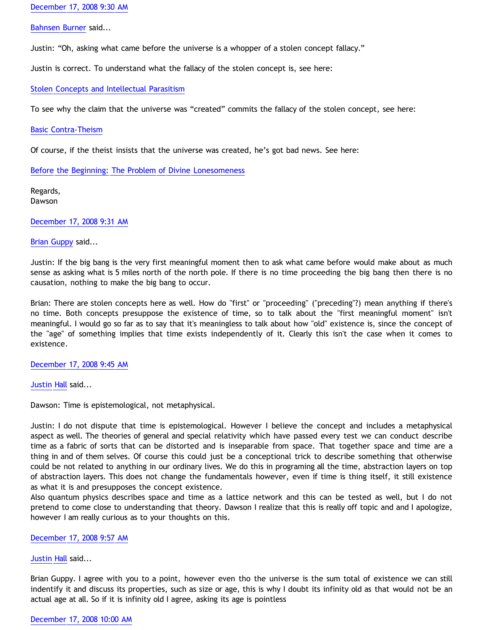[December 17, 2008 9:30 AM](http://bahnsenburner.blogspot.com/2008/12/#6338713009358324155)

[Bahnsen Burner](http://www.blogger.com/profile/11030029491768748360) said...

Justin: "Oh, asking what came before the universe is a whopper of a stolen concept fallacy."

Justin is correct. To understand what the fallacy of the stolen concept is, see here:

[Stolen Concepts and Intellectual Parasitism](http://bahnsenburner.blogspot.com/2008/06/stolen-concepts-and-intellectual.html)

To see why the claim that the universe was "created" commits the fallacy of the stolen concept, see here:

[Basic Contra-Theism](http://bahnsenburner.blogspot.com/2006/05/basic-contra-theism.html)

Of course, if the theist insists that the universe was created, he's got bad news. See here:

[Before the Beginning: The Problem of Divine Lonesomeness](http://bahnsenburner.blogspot.com/2008/07/before-beginning-problem-of-divine.html)

Regards, Dawson

[December 17, 2008 9:31 AM](http://bahnsenburner.blogspot.com/2008/12/#4801752624029258575)

#### [Brian Guppy](http://www.blogger.com/profile/05155645438149372233) said...

Justin: If the big bang is the very first meaningful moment then to ask what came before would make about as much sense as asking what is 5 miles north of the north pole. If there is no time proceeding the big bang then there is no causation, nothing to make the big bang to occur.

Brian: There are stolen concepts here as well. How do "first" or "proceeding" ("preceding"?) mean anything if there's no time. Both concepts presuppose the existence of time, so to talk about the "first meaningful moment" isn't meaningful. I would go so far as to say that it's meaningless to talk about how "old" existence is, since the concept of the "age" of something implies that time exists independently of it. Clearly this isn't the case when it comes to existence.

[December 17, 2008 9:45 AM](http://bahnsenburner.blogspot.com/2008/12/#5120977537211999780)

[Justin Hall](http://www.blogger.com/profile/17804641315202800289) said...

Dawson: Time is epistemological, not metaphysical.

Justin: I do not dispute that time is epistemological. However I believe the concept and includes a metaphysical aspect as well. The theories of general and special relativity which have passed every test we can conduct describe time as a fabric of sorts that can be distorted and is inseparable from space. That together space and time are a thing in and of them selves. Of course this could just be a conceptional trick to describe something that otherwise could be not related to anything in our ordinary lives. We do this in programing all the time, abstraction layers on top of abstraction layers. This does not change the fundamentals however, even if time is thing itself, it still existence as what it is and presupposes the concept existence.

Also quantum physics describes space and time as a lattice network and this can be tested as well, but I do not pretend to come close to understanding that theory. Dawson I realize that this is really off topic and and I apologize, however I am really curious as to your thoughts on this.

[December 17, 2008 9:57 AM](http://bahnsenburner.blogspot.com/2008/12/#7946560954734371932)

[Justin Hall](http://www.blogger.com/profile/17804641315202800289) said...

Brian Guppy. I agree with you to a point, however even tho the universe is the sum total of existence we can still indentify it and discuss its properties, such as size or age, this is why I doubt its infinity old as that would not be an actual age at all. So if it is infinity old I agree, asking its age is pointless

# [December 17, 2008 10:00 AM](http://bahnsenburner.blogspot.com/2008/12/#7680282967961113342)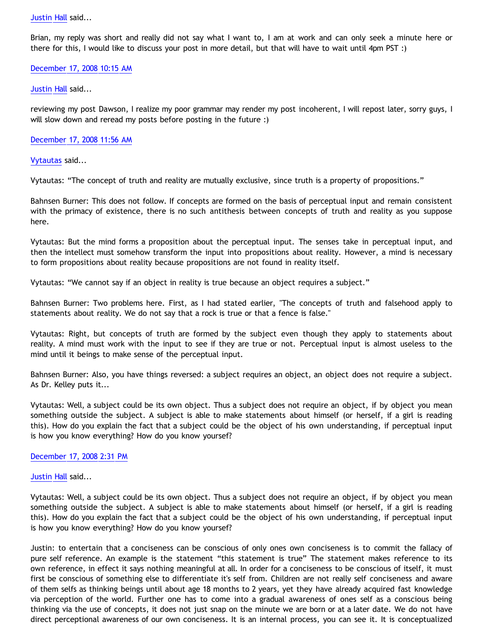## [Justin Hall](http://www.blogger.com/profile/17804641315202800289) said...

Brian, my reply was short and really did not say what I want to, I am at work and can only seek a minute here or there for this, I would like to discuss your post in more detail, but that will have to wait until 4pm PST :)

## [December 17, 2008 10:15 AM](http://bahnsenburner.blogspot.com/2008/12/#3744498340242049911)

## [Justin Hall](http://www.blogger.com/profile/17804641315202800289) said...

reviewing my post Dawson, I realize my poor grammar may render my post incoherent, I will repost later, sorry guys, I will slow down and reread my posts before posting in the future :)

# [December 17, 2008 11:56 AM](http://bahnsenburner.blogspot.com/2008/12/#7711820548563381532)

# [Vytautas](http://www.blogger.com/profile/10563655929016752682) said...

Vytautas: "The concept of truth and reality are mutually exclusive, since truth is a property of propositions."

Bahnsen Burner: This does not follow. If concepts are formed on the basis of perceptual input and remain consistent with the primacy of existence, there is no such antithesis between concepts of truth and reality as you suppose here.

Vytautas: But the mind forms a proposition about the perceptual input. The senses take in perceptual input, and then the intellect must somehow transform the input into propositions about reality. However, a mind is necessary to form propositions about reality because propositions are not found in reality itself.

Vytautas: "We cannot say if an object in reality is true because an object requires a subject."

Bahnsen Burner: Two problems here. First, as I had stated earlier, "The concepts of truth and falsehood apply to statements about reality. We do not say that a rock is true or that a fence is false."

Vytautas: Right, but concepts of truth are formed by the subject even though they apply to statements about reality. A mind must work with the input to see if they are true or not. Perceptual input is almost useless to the mind until it beings to make sense of the perceptual input.

Bahnsen Burner: Also, you have things reversed: a subject requires an object, an object does not require a subject. As Dr. Kelley puts it...

Vytautas: Well, a subject could be its own object. Thus a subject does not require an object, if by object you mean something outside the subject. A subject is able to make statements about himself (or herself, if a girl is reading this). How do you explain the fact that a subject could be the object of his own understanding, if perceptual input is how you know everything? How do you know yoursef?

## [December 17, 2008 2:31 PM](http://bahnsenburner.blogspot.com/2008/12/#4128073027583446959)

## [Justin Hall](http://www.blogger.com/profile/17804641315202800289) said...

Vytautas: Well, a subject could be its own object. Thus a subject does not require an object, if by object you mean something outside the subject. A subject is able to make statements about himself (or herself, if a girl is reading this). How do you explain the fact that a subject could be the object of his own understanding, if perceptual input is how you know everything? How do you know yoursef?

Justin: to entertain that a conciseness can be conscious of only ones own conciseness is to commit the fallacy of pure self reference. An example is the statement "this statement is true" The statement makes reference to its own reference, in effect it says nothing meaningful at all. In order for a conciseness to be conscious of itself, it must first be conscious of something else to differentiate it's self from. Children are not really self conciseness and aware of them selfs as thinking beings until about age 18 months to 2 years, yet they have already acquired fast knowledge via perception of the world. Further one has to come into a gradual awareness of ones self as a conscious being thinking via the use of concepts, it does not just snap on the minute we are born or at a later date. We do not have direct perceptional awareness of our own conciseness. It is an internal process, you can see it. It is conceptualized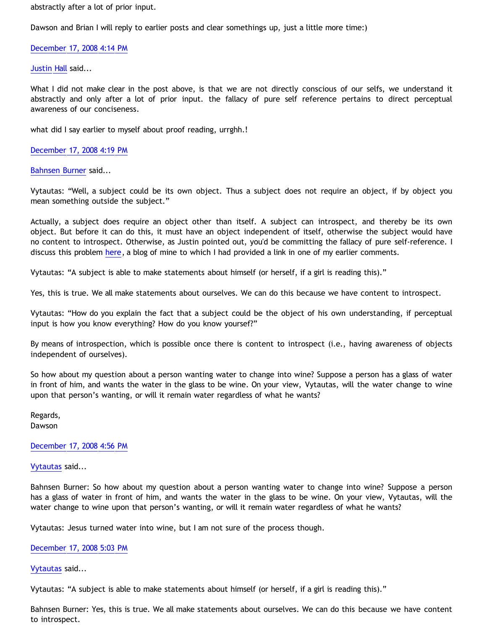abstractly after a lot of prior input.

Dawson and Brian I will reply to earlier posts and clear somethings up, just a little more time:)

[December 17, 2008 4:14 PM](http://bahnsenburner.blogspot.com/2008/12/#766775337204122462)

[Justin Hall](http://www.blogger.com/profile/17804641315202800289) said...

What I did not make clear in the post above, is that we are not directly conscious of our selfs, we understand it abstractly and only after a lot of prior input. the fallacy of pure self reference pertains to direct perceptual awareness of our conciseness.

what did I say earlier to myself about proof reading, urrghh.!

[December 17, 2008 4:19 PM](http://bahnsenburner.blogspot.com/2008/12/#3470675852850833790)

[Bahnsen Burner](http://www.blogger.com/profile/11030029491768748360) said...

Vytautas: "Well, a subject could be its own object. Thus a subject does not require an object, if by object you mean something outside the subject."

Actually, a subject does require an object other than itself. A subject can introspect, and thereby be its own object. But before it can do this, it must have an object independent of itself, otherwise the subject would have no content to introspect. Otherwise, as Justin pointed out, you'd be committing the fallacy of pure self-reference. I discuss this problem [here](http://bahnsenburner.blogspot.com/2008/07/before-beginning-problem-of-divine.html), a blog of mine to which I had provided a link in one of my earlier comments.

Vytautas: "A subject is able to make statements about himself (or herself, if a girl is reading this)."

Yes, this is true. We all make statements about ourselves. We can do this because we have content to introspect.

Vytautas: "How do you explain the fact that a subject could be the object of his own understanding, if perceptual input is how you know everything? How do you know yoursef?"

By means of introspection, which is possible once there is content to introspect (i.e., having awareness of objects independent of ourselves).

So how about my question about a person wanting water to change into wine? Suppose a person has a glass of water in front of him, and wants the water in the glass to be wine. On your view, Vytautas, will the water change to wine upon that person's wanting, or will it remain water regardless of what he wants?

Regards, Dawson

[December 17, 2008 4:56 PM](http://bahnsenburner.blogspot.com/2008/12/#8147051322747437320)

[Vytautas](http://www.blogger.com/profile/10563655929016752682) said...

Bahnsen Burner: So how about my question about a person wanting water to change into wine? Suppose a person has a glass of water in front of him, and wants the water in the glass to be wine. On your view, Vytautas, will the water change to wine upon that person's wanting, or will it remain water regardless of what he wants?

Vytautas: Jesus turned water into wine, but I am not sure of the process though.

[December 17, 2008 5:03 PM](http://bahnsenburner.blogspot.com/2008/12/#3813262975483536321)

[Vytautas](http://www.blogger.com/profile/10563655929016752682) said...

Vytautas: "A subject is able to make statements about himself (or herself, if a girl is reading this)."

Bahnsen Burner: Yes, this is true. We all make statements about ourselves. We can do this because we have content to introspect.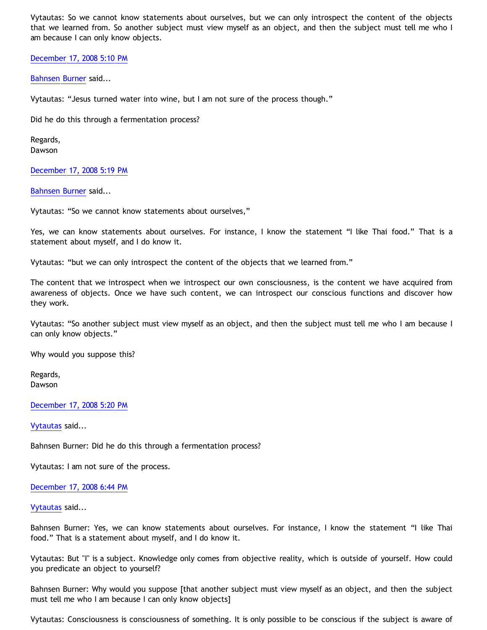Vytautas: So we cannot know statements about ourselves, but we can only introspect the content of the objects that we learned from. So another subject must view myself as an object, and then the subject must tell me who I am because I can only know objects.

[December 17, 2008 5:10 PM](http://bahnsenburner.blogspot.com/2008/12/#3087084260618228374)

[Bahnsen Burner](http://www.blogger.com/profile/11030029491768748360) said...

Vytautas: "Jesus turned water into wine, but I am not sure of the process though."

Did he do this through a fermentation process?

Regards, Dawson

[December 17, 2008 5:19 PM](http://bahnsenburner.blogspot.com/2008/12/#6447233104876731711)

[Bahnsen Burner](http://www.blogger.com/profile/11030029491768748360) said...

Vytautas: "So we cannot know statements about ourselves,"

Yes, we can know statements about ourselves. For instance, I know the statement "I like Thai food." That is a statement about myself, and I do know it.

Vytautas: "but we can only introspect the content of the objects that we learned from."

The content that we introspect when we introspect our own consciousness, is the content we have acquired from awareness of objects. Once we have such content, we can introspect our conscious functions and discover how they work.

Vytautas: "So another subject must view myself as an object, and then the subject must tell me who I am because I can only know objects."

Why would you suppose this?

Regards, Dawson

[December 17, 2008 5:20 PM](http://bahnsenburner.blogspot.com/2008/12/#2356956968545999054)

[Vytautas](http://www.blogger.com/profile/10563655929016752682) said...

Bahnsen Burner: Did he do this through a fermentation process?

Vytautas: I am not sure of the process.

[December 17, 2008 6:44 PM](http://bahnsenburner.blogspot.com/2008/12/#6550211278833130055)

[Vytautas](http://www.blogger.com/profile/10563655929016752682) said...

Bahnsen Burner: Yes, we can know statements about ourselves. For instance, I know the statement "I like Thai food." That is a statement about myself, and I do know it.

Vytautas: But "I" is a subject. Knowledge only comes from objective reality, which is outside of yourself. How could you predicate an object to yourself?

Bahnsen Burner: Why would you suppose [that another subject must view myself as an object, and then the subject must tell me who I am because I can only know objects]

Vytautas: Consciousness is consciousness of something. It is only possible to be conscious if the subject is aware of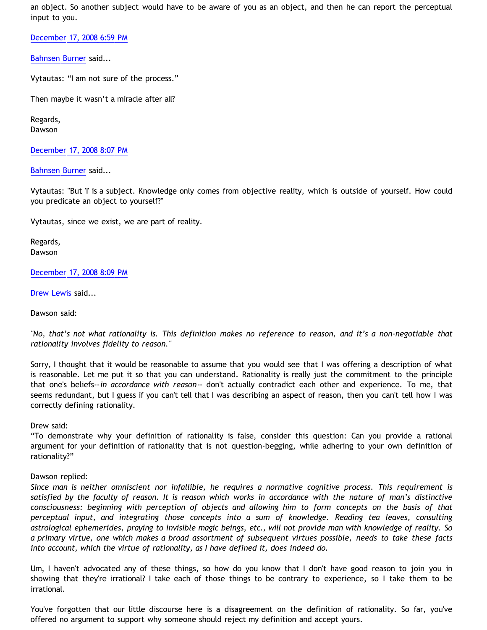an object. So another subject would have to be aware of you as an object, and then he can report the perceptual input to you.

[December 17, 2008 6:59 PM](http://bahnsenburner.blogspot.com/2008/12/#372716811012166931)

[Bahnsen Burner](http://www.blogger.com/profile/11030029491768748360) said...

Vytautas: "I am not sure of the process."

Then maybe it wasn't a miracle after all?

Regards, Dawson

[December 17, 2008 8:07 PM](http://bahnsenburner.blogspot.com/2008/12/#3024849827922409464)

[Bahnsen Burner](http://www.blogger.com/profile/11030029491768748360) said...

Vytautas: "But 'I' is a subject. Knowledge only comes from objective reality, which is outside of yourself. How could you predicate an object to yourself?"

Vytautas, since we exist, we are part of reality.

Regards, Dawson

[December 17, 2008 8:09 PM](http://bahnsenburner.blogspot.com/2008/12/#7068695561950017149)

[Drew Lewis](http://www.blogger.com/profile/06553828200280746250) said...

Dawson said:

*"No, that's not what rationality is. This definition makes no reference to reason, and it's a non-negotiable that rationality involves fidelity to reason."*

Sorry, I thought that it would be reasonable to assume that you would see that I was offering a description of what is reasonable. Let me put it so that you can understand. Rationality is really just the commitment to the principle that one's beliefs--*in accordance with reason*-- don't actually contradict each other and experience. To me, that seems redundant, but I guess if you can't tell that I was describing an aspect of reason, then you can't tell how I was correctly defining rationality.

Drew said:

"To demonstrate why your definition of rationality is false, consider this question: Can you provide a rational argument for your definition of rationality that is not question-begging, while adhering to your own definition of rationality?"

# Dawson replied:

*Since man is neither omniscient nor infallible, he requires a normative cognitive process. This requirement is satisfied by the faculty of reason. It is reason which works in accordance with the nature of man's distinctive consciousness: beginning with perception of objects and allowing him to form concepts on the basis of that perceptual input, and integrating those concepts into a sum of knowledge. Reading tea leaves, consulting astrological ephemerides, praying to invisible magic beings, etc., will not provide man with knowledge of reality. So a primary virtue, one which makes a broad assortment of subsequent virtues possible, needs to take these facts into account, which the virtue of rationality, as I have defined it, does indeed do.*

Um, I haven't advocated any of these things, so how do you know that I don't have good reason to join you in showing that they're irrational? I take each of those things to be contrary to experience, so I take them to be irrational.

You've forgotten that our little discourse here is a disagreement on the definition of rationality. So far, you've offered no argument to support why someone should reject my definition and accept yours.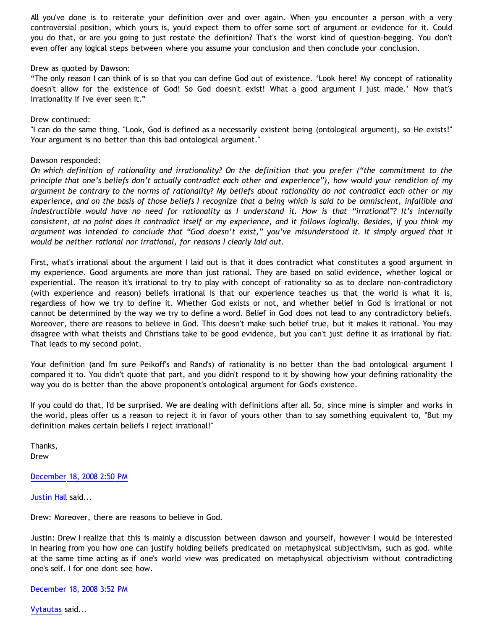All you've done is to reiterate your definition over and over again. When you encounter a person with a very controversial position, which yours is, you'd expect them to offer some sort of argument or evidence for it. Could you do that, or are you going to just restate the definition? That's the worst kind of question-begging. You don't even offer any logical steps between where you assume your conclusion and then conclude your conclusion.

## Drew as quoted by Dawson:

"The only reason I can think of is so that you can define God out of existence. 'Look here! My concept of rationality doesn't allow for the existence of God! So God doesn't exist! What a good argument I just made.' Now that's irrationality if I've ever seen it."

# Drew continued:

"I can do the same thing. "Look, God is defined as a necessarily existent being (ontological argument), so He exists!" Your argument is no better than this bad ontological argument."

# Dawson responded:

*On which definition of rationality and irrationality? On the definition that you prefer ("the commitment to the principle that one's beliefs don't actually contradict each other and experience"), how would your rendition of my argument be contrary to the norms of rationality? My beliefs about rationality do not contradict each other or my experience, and on the basis of those beliefs I recognize that a being which is said to be omniscient, infallible and indestructible would have no need for rationality as I understand it. How is that "irrational"? It's internally consistent, at no point does it contradict itself or my experience, and it follows logically. Besides, if you think my argument was intended to conclude that "God doesn't exist," you've misunderstood it. It simply argued that it would be neither rational nor irrational, for reasons I clearly laid out.*

First, what's irrational about the argument I laid out is that it does contradict what constitutes a good argument in my experience. Good arguments are more than just rational. They are based on solid evidence, whether logical or experiential. The reason it's irrational to try to play with concept of rationality so as to declare non-contradictory (with experience and reason) beliefs irrational is that our experience teaches us that the world is what it is, regardless of how we try to define it. Whether God exists or not, and whether belief in God is irrational or not cannot be determined by the way we try to define a word. Belief in God does not lead to any contradictory beliefs. Moreover, there are reasons to believe in God. This doesn't make such belief true, but it makes it rational. You may disagree with what theists and Christians take to be good evidence, but you can't just define it as irrational by fiat. That leads to my second point.

Your definition (and I'm sure Peikoff's and Rand's) of rationality is no better than the bad ontological argument I compared it to. You didn't quote that part, and you didn't respond to it by showing how your defining rationality the way you do is better than the above proponent's ontological argument for God's existence.

If you could do that, I'd be surprised. We are dealing with definitions after all. So, since mine is simpler and works in the world, pleas offer us a reason to reject it in favor of yours other than to say something equivalent to, "But my definition makes certain beliefs I reject irrational!"

Thanks, Drew

[December 18, 2008 2:50 PM](http://bahnsenburner.blogspot.com/2008/12/#8472688296460617808)

[Justin Hall](http://www.blogger.com/profile/17804641315202800289) said...

Drew: Moreover, there are reasons to believe in God.

Justin: Drew I realize that this is mainly a discussion between dawson and yourself, however I would be interested in hearing from you how one can justify holding beliefs predicated on metaphysical subjectivism, such as god. while at the same time acting as if one's world view was predicated on metaphysical objectivism without contradicting one's self. I for one dont see how.

## [December 18, 2008 3:52 PM](http://bahnsenburner.blogspot.com/2008/12/#1950821296446682391)

[Vytautas](http://www.blogger.com/profile/10563655929016752682) said...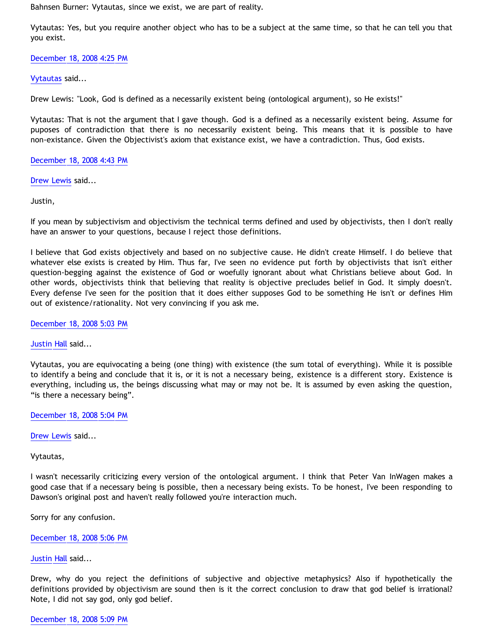Bahnsen Burner: Vytautas, since we exist, we are part of reality.

Vytautas: Yes, but you require another object who has to be a subject at the same time, so that he can tell you that you exist.

[December 18, 2008 4:25 PM](http://bahnsenburner.blogspot.com/2008/12/#476762318351204843)

[Vytautas](http://www.blogger.com/profile/10563655929016752682) said...

Drew Lewis: "Look, God is defined as a necessarily existent being (ontological argument), so He exists!"

Vytautas: That is not the argument that I gave though. God is a defined as a necessarily existent being. Assume for puposes of contradiction that there is no necessarily existent being. This means that it is possible to have non-existance. Given the Objectivist's axiom that existance exist, we have a contradiction. Thus, God exists.

[December 18, 2008 4:43 PM](http://bahnsenburner.blogspot.com/2008/12/#6140279036255140730)

[Drew Lewis](http://www.blogger.com/profile/06553828200280746250) said...

Justin,

If you mean by subjectivism and objectivism the technical terms defined and used by objectivists, then I don't really have an answer to your questions, because I reject those definitions.

I believe that God exists objectively and based on no subjective cause. He didn't create Himself. I do believe that whatever else exists is created by Him. Thus far, I've seen no evidence put forth by objectivists that isn't either question-begging against the existence of God or woefully ignorant about what Christians believe about God. In other words, objectivists think that believing that reality is objective precludes belief in God. It simply doesn't. Every defense I've seen for the position that it does either supposes God to be something He isn't or defines Him out of existence/rationality. Not very convincing if you ask me.

[December 18, 2008 5:03 PM](http://bahnsenburner.blogspot.com/2008/12/#3661844435718610002)

[Justin Hall](http://www.blogger.com/profile/17804641315202800289) said...

Vytautas, you are equivocating a being (one thing) with existence (the sum total of everything). While it is possible to identify a being and conclude that it is, or it is not a necessary being, existence is a different story. Existence is everything, including us, the beings discussing what may or may not be. It is assumed by even asking the question, "is there a necessary being".

[December 18, 2008 5:04 PM](http://bahnsenburner.blogspot.com/2008/12/#3764886694313687653)

[Drew Lewis](http://www.blogger.com/profile/06553828200280746250) said...

Vytautas,

I wasn't necessarily criticizing every version of the ontological argument. I think that Peter Van InWagen makes a good case that if a necessary being is possible, then a necessary being exists. To be honest, I've been responding to Dawson's original post and haven't really followed you're interaction much.

Sorry for any confusion.

[December 18, 2008 5:06 PM](http://bahnsenburner.blogspot.com/2008/12/#8833175233675586080)

Justin H<mark>all</mark> said...

Drew, why do you reject the definitions of subjective and objective metaphysics? Also if hypothetically the definitions provided by objectivism are sound then is it the correct conclusion to draw that god belief is irrational? Note, I did not say god, only god belief.

# [December 18, 2008 5:09 PM](http://bahnsenburner.blogspot.com/2008/12/#7832859991556239989)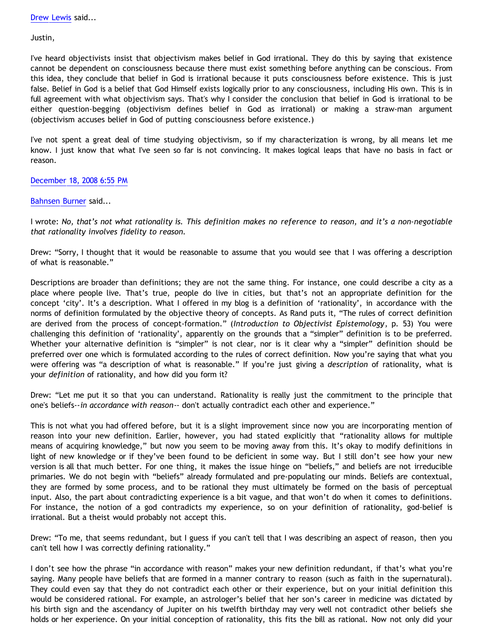Justin,

I've heard objectivists insist that objectivism makes belief in God irrational. They do this by saying that existence cannot be dependent on consciousness because there must exist something before anything can be conscious. From this idea, they conclude that belief in God is irrational because it puts consciousness before existence. This is just false. Belief in God is a belief that God Himself exists logically prior to any consciousness, including His own. This is in full agreement with what objectivism says. That's why I consider the conclusion that belief in God is irrational to be either question-begging (objectivism defines belief in God as irrational) or making a straw-man argument (objectivism accuses belief in God of putting consciousness before existence.)

I've not spent a great deal of time studying objectivism, so if my characterization is wrong, by all means let me know. I just know that what I've seen so far is not convincing. It makes logical leaps that have no basis in fact or reason.

[December 18, 2008 6:55 PM](http://bahnsenburner.blogspot.com/2008/12/#1717838459553064156)

# [Bahnsen Burner](http://www.blogger.com/profile/11030029491768748360) said...

I wrote: *No, that's not what rationality is. This definition makes no reference to reason, and it's a non-negotiable that rationality involves fidelity to reason.*

Drew: "Sorry, I thought that it would be reasonable to assume that you would see that I was offering a description of what is reasonable."

Descriptions are broader than definitions; they are not the same thing. For instance, one could describe a city as a place where people live. That's true, people do live in cities, but that's not an appropriate definition for the concept 'city'. It's a description. What I offered in my blog is a definition of 'rationality', in accordance with the norms of definition formulated by the objective theory of concepts. As Rand puts it, "The rules of correct definition are derived from the process of concept-formation." (*Introduction to Objectivist Epistemology*, p. 53) You were challenging this definition of 'rationality', apparently on the grounds that a "simpler" definition is to be preferred. Whether your alternative definition is "simpler" is not clear, nor is it clear why a "simpler" definition should be preferred over one which is formulated according to the rules of correct definition. Now you're saying that what you were offering was "a description of what is reasonable." If you're just giving a *description* of rationality, what is your *definition* of rationality, and how did you form it?

Drew: "Let me put it so that you can understand. Rationality is really just the commitment to the principle that one's beliefs--*in accordance with reason*-- don't actually contradict each other and experience."

This is not what you had offered before, but it is a slight improvement since now you are incorporating mention of reason into your new definition. Earlier, however, you had stated explicitly that "rationality allows for multiple means of acquiring knowledge," but now you seem to be moving away from this. It's okay to modify definitions in light of new knowledge or if they've been found to be deficient in some way. But I still don't see how your new version is all that much better. For one thing, it makes the issue hinge on "beliefs," and beliefs are not irreducible primaries. We do not begin with "beliefs" already formulated and pre-populating our minds. Beliefs are contextual, they are formed by some process, and to be rational they must ultimately be formed on the basis of perceptual input. Also, the part about contradicting experience is a bit vague, and that won't do when it comes to definitions. For instance, the notion of a god contradicts my experience, so on your definition of rationality, god-belief is irrational. But a theist would probably not accept this.

Drew: "To me, that seems redundant, but I guess if you can't tell that I was describing an aspect of reason, then you can't tell how I was correctly defining rationality."

I don't see how the phrase "in accordance with reason" makes your new definition redundant, if that's what you're saying. Many people have beliefs that are formed in a manner contrary to reason (such as faith in the supernatural). They could even say that they do not contradict each other or their experience, but on your initial definition this would be considered rational. For example, an astrologer's belief that her son's career in medicine was dictated by his birth sign and the ascendancy of Jupiter on his twelfth birthday may very well not contradict other beliefs she holds or her experience. On your initial conception of rationality, this fits the bill as rational. Now not only did your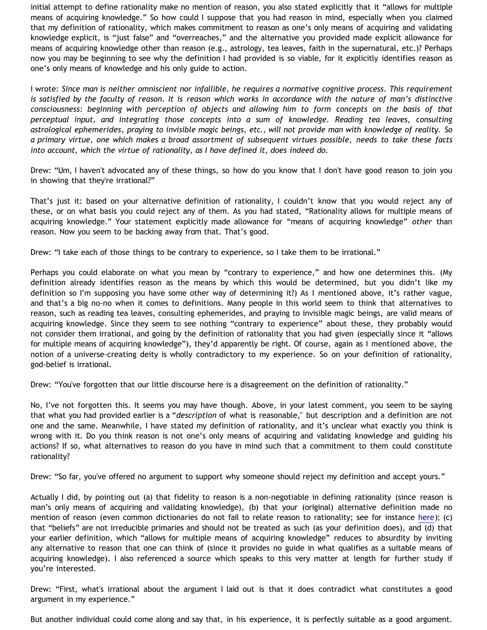initial attempt to define rationality make no mention of reason, you also stated explicitly that it "allows for multiple means of acquiring knowledge." So how could I suppose that you had reason in mind, especially when you claimed that my definition of rationality, which makes commitment to reason as one's only means of acquiring and validating knowledge explicit, is "just false" and "overreaches," and the alternative you provided made explicit allowance for means of acquiring knowledge other than reason (e.g., astrology, tea leaves, faith in the supernatural, etc.)? Perhaps now you may be beginning to see why the definition I had provided is so viable, for it explicitly identifies reason as one's only means of knowledge and his only guide to action.

I wrote: *Since man is neither omniscient nor infallible, he requires a normative cognitive process. This requirement is satisfied by the faculty of reason. It is reason which works in accordance with the nature of man's distinctive consciousness: beginning with perception of objects and allowing him to form concepts on the basis of that perceptual input, and integrating those concepts into a sum of knowledge. Reading tea leaves, consulting astrological ephemerides, praying to invisible magic beings, etc., will not provide man with knowledge of reality. So a primary virtue, one which makes a broad assortment of subsequent virtues possible, needs to take these facts into account, which the virtue of rationality, as I have defined it, does indeed do.*

Drew: "Um, I haven't advocated any of these things, so how do you know that I don't have good reason to join you in showing that they're irrational?"

That's just it: based on your alternative definition of rationality, I couldn't know that you would reject any of these, or on what basis you could reject any of them. As you had stated, "Rationality allows for multiple means of acquiring knowledge." Your statement explicitly made allowance for "means of acquiring knowledge" *other* than reason. Now you seem to be backing away from that. That's good.

Drew: "I take each of those things to be contrary to experience, so I take them to be irrational."

Perhaps you could elaborate on what you mean by "contrary to experience," and how one determines this. (My definition already identifies reason as the means by which this would be determined, but you didn't like my definition so I'm supposing you have some other way of determining it?) As I mentioned above, it's rather vague, and that's a big no-no when it comes to definitions. Many people in this world seem to think that alternatives to reason, such as reading tea leaves, consulting ephemerides, and praying to invisible magic beings, are valid means of acquiring knowledge. Since they seem to see nothing "contrary to experience" about these, they probably would not consider them irrational, and going by the definition of rationality that you had given (especially since it "allows for multiple means of acquiring knowledge"), they'd apparently be right. Of course, again as I mentioned above, the notion of a universe-creating deity is wholly contradictory to my experience. So on your definition of rationality, god-belief is irrational.

Drew: "You've forgotten that our little discourse here is a disagreement on the definition of rationality."

No, I've not forgotten this. It seems you may have though. Above, in your latest comment, you seem to be saying that what you had provided earlier is a "*description* of what is reasonable," but description and a definition are not one and the same. Meanwhile, I have stated my definition of rationality, and it's unclear what exactly you think is wrong with it. Do you think reason is not one's only means of acquiring and validating knowledge and guiding his actions? If so, what alternatives to reason do you have in mind such that a commitment to them could constitute rationality?

Drew: "So far, you've offered no argument to support why someone should reject my definition and accept yours."

Actually I did, by pointing out (a) that fidelity to reason is a non-negotiable in defining rationality (since reason is man's only means of acquiring and validating knowledge), (b) that your (original) alternative definition made no mention of reason (even common dictionaries do not fail to relate reason to rationality; see for instance [here\)](http://dictionary.reference.com/browse/rational); (c) that "beliefs" are not irreducible primaries and should not be treated as such (as your definition does), and (d) that your earlier definition, which "allows for multiple means of acquiring knowledge" reduces to absurdity by inviting any alternative to reason that one can think of (since it provides no guide in what qualifies as a suitable means of acquiring knowledge). I also referenced a source which speaks to this very matter at length for further study if you're interested.

Drew: "First, what's irrational about the argument I laid out is that it does contradict what constitutes a good argument in my experience."

But another individual could come along and say that, in his experience, it is perfectly suitable as a good argument.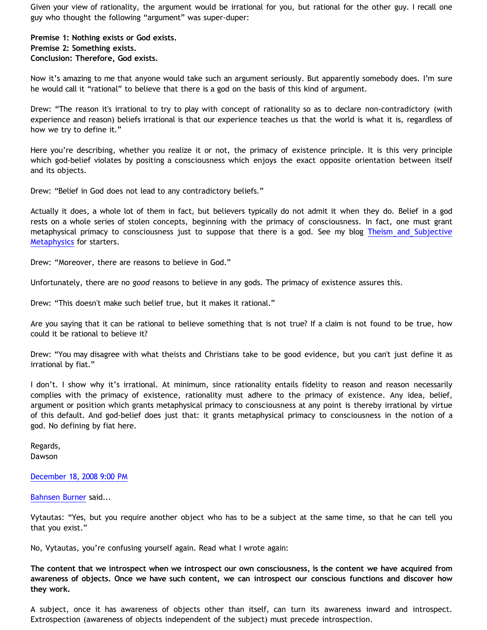Given your view of rationality, the argument would be irrational for you, but rational for the other guy. I recall one guy who thought the following "argument" was super-duper:

**Premise 1: Nothing exists or God exists. Premise 2: Something exists. Conclusion: Therefore, God exists.**

Now it's amazing to me that anyone would take such an argument seriously. But apparently somebody does. I'm sure he would call it "rational" to believe that there is a god on the basis of this kind of argument.

Drew: "The reason it's irrational to try to play with concept of rationality so as to declare non-contradictory (with experience and reason) beliefs irrational is that our experience teaches us that the world is what it is, regardless of how we try to define it."

Here you're describing, whether you realize it or not, the primacy of existence principle. It is this very principle which god-belief violates by positing a consciousness which enjoys the exact opposite orientation between itself and its objects.

Drew: "Belief in God does not lead to any contradictory beliefs."

Actually it does, a whole lot of them in fact, but believers typically do not admit it when they do. Belief in a god rests on a whole series of stolen concepts, beginning with the primacy of consciousness. In fact, one must grant metaphysical primacy to consciousness just to suppose that there is a god. See my blog [Theism and Subjective](http://bahnsenburner.blogspot.com/2006/12/theism-and-subjective-metaphysics.html) [Metaphysics](http://bahnsenburner.blogspot.com/2006/12/theism-and-subjective-metaphysics.html) for starters.

Drew: "Moreover, there are reasons to believe in God."

Unfortunately, there are no *good* reasons to believe in any gods. The primacy of existence assures this.

Drew: "This doesn't make such belief true, but it makes it rational."

Are you saying that it can be rational to believe something that is not true? If a claim is not found to be true, how could it be rational to believe it?

Drew: "You may disagree with what theists and Christians take to be good evidence, but you can't just define it as irrational by fiat."

I don't. I show why it's irrational. At minimum, since rationality entails fidelity to reason and reason necessarily complies with the primacy of existence, rationality must adhere to the primacy of existence. Any idea, belief, argument or position which grants metaphysical primacy to consciousness at any point is thereby irrational by virtue of this default. And god-belief does just that: it grants metaphysical primacy to consciousness in the notion of a god. No defining by fiat here.

Regards, Dawson

#### [December 18, 2008 9:00 PM](http://bahnsenburner.blogspot.com/2008/12/#4131435062150889473)

[Bahnsen Burner](http://www.blogger.com/profile/11030029491768748360) said...

Vytautas: "Yes, but you require another object who has to be a subject at the same time, so that he can tell you that you exist."

No, Vytautas, you're confusing yourself again. Read what I wrote again:

**The content that we introspect when we introspect our own consciousness, is the content we have acquired from awareness of objects. Once we have such content, we can introspect our conscious functions and discover how they work.**

A subject, once it has awareness of objects other than itself, can turn its awareness inward and introspect. Extrospection (awareness of objects independent of the subject) must precede introspection.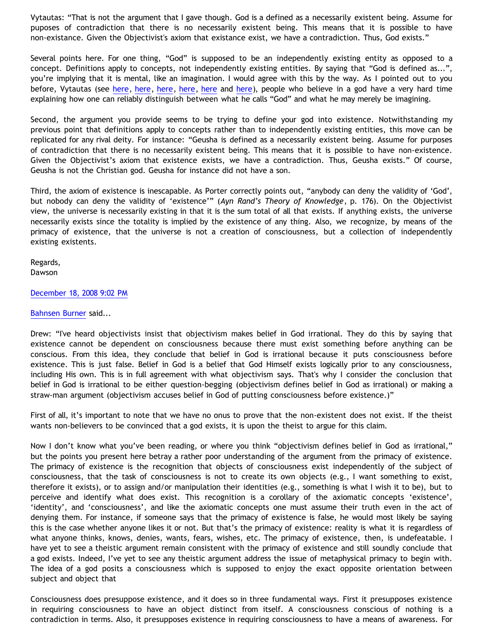Vytautas: "That is not the argument that I gave though. God is a defined as a necessarily existent being. Assume for puposes of contradiction that there is no necessarily existent being. This means that it is possible to have non-existance. Given the Objectivist's axiom that existance exist, we have a contradiction. Thus, God exists."

Several points here. For one thing, "God" is supposed to be an independently existing entity as opposed to a concept. Definitions apply to concepts, not independently existing entities. By saying that "God is defined as...", you're implying that it is mental, like an imagination. I would agree with this by the way. As I pointed out to you before, Vytautas (see [here,](http://bahnsenburner.blogspot.com/2008/01/response-to-vytautas.html) [here](http://bahnsenburner.blogspot.com/2008/01/imaginative-basis-of-vytautas-god.html), [here](http://bahnsenburner.blogspot.com/2008/01/imaginative-basis-of-vytautas-god_13.html), [here,](http://bahnsenburner.blogspot.com/2008/01/imaginative-basis-of-vytautas-god_14.html) [here](http://bahnsenburner.blogspot.com/2008/01/imaginative-basis-of-vytautas-god_17.html) and [here\)](http://bahnsenburner.blogspot.com/2008/01/imaginative-basis-of-vytautas-god_18.html), people who believe in a god have a very hard time explaining how one can reliably distinguish between what he calls "God" and what he may merely be imagining.

Second, the argument you provide seems to be trying to define your god into existence. Notwithstanding my previous point that definitions apply to concepts rather than to independently existing entities, this move can be replicated for any rival deity. For instance: "Geusha is defined as a necessarily existent being. Assume for purposes of contradiction that there is no necessarily existent being. This means that it is possible to have non-existence. Given the Objectivist's axiom that existence exists, we have a contradiction. Thus, Geusha exists." Of course, Geusha is not the Christian god. Geusha for instance did not have a son.

Third, the axiom of existence is inescapable. As Porter correctly points out, "anybody can deny the validity of 'God', but nobody can deny the validity of 'existence'" (*Ayn Rand's Theory of Knowledge*, p. 176). On the Objectivist view, the universe is necessarily existing in that it is the sum total of all that exists. If anything exists, the universe necessarily exists since the totality is implied by the existence of any thing. Also, we recognize, by means of the primacy of existence, that the universe is not a creation of consciousness, but a collection of independently existing existents.

Regards, Dawson

## [December 18, 2008 9:02 PM](http://bahnsenburner.blogspot.com/2008/12/#7776222057665376469)

#### [Bahnsen Burner](http://www.blogger.com/profile/11030029491768748360) said...

Drew: "I've heard objectivists insist that objectivism makes belief in God irrational. They do this by saying that existence cannot be dependent on consciousness because there must exist something before anything can be conscious. From this idea, they conclude that belief in God is irrational because it puts consciousness before existence. This is just false. Belief in God is a belief that God Himself exists logically prior to any consciousness, including His own. This is in full agreement with what objectivism says. That's why I consider the conclusion that belief in God is irrational to be either question-begging (objectivism defines belief in God as irrational) or making a straw-man argument (objectivism accuses belief in God of putting consciousness before existence.)"

First of all, it's important to note that we have no onus to prove that the non-existent does not exist. If the theist wants non-believers to be convinced that a god exists, it is upon the theist to argue for this claim.

Now I don't know what you've been reading, or where you think "objectivism defines belief in God as irrational," but the points you present here betray a rather poor understanding of the argument from the primacy of existence. The primacy of existence is the recognition that objects of consciousness exist independently of the subject of consciousness, that the task of consciousness is not to create its own objects (e.g., I want something to exist, therefore it exists), or to assign and/or manipulation their identities (e.g., something is what I wish it to be), but to perceive and identify what does exist. This recognition is a corollary of the axiomatic concepts 'existence', 'identity', and 'consciousness', and like the axiomatic concepts one must assume their truth even in the act of denying them. For instance, if someone says that the primacy of existence is false, he would most likely be saying this is the case whether anyone likes it or not. But that's the primacy of existence: reality is what it is regardless of what anyone thinks, knows, denies, wants, fears, wishes, etc. The primacy of existence, then, is undefeatable. I have yet to see a theistic argument remain consistent with the primacy of existence and still soundly conclude that a god exists. Indeed, I've yet to see any theistic argument address the issue of metaphysical primacy to begin with. The idea of a god posits a consciousness which is supposed to enjoy the exact opposite orientation between subject and object that

Consciousness does presuppose existence, and it does so in three fundamental ways. First it presupposes existence in requiring consciousness to have an object distinct from itself. A consciousness conscious of nothing is a contradiction in terms. Also, it presupposes existence in requiring consciousness to have a means of awareness. For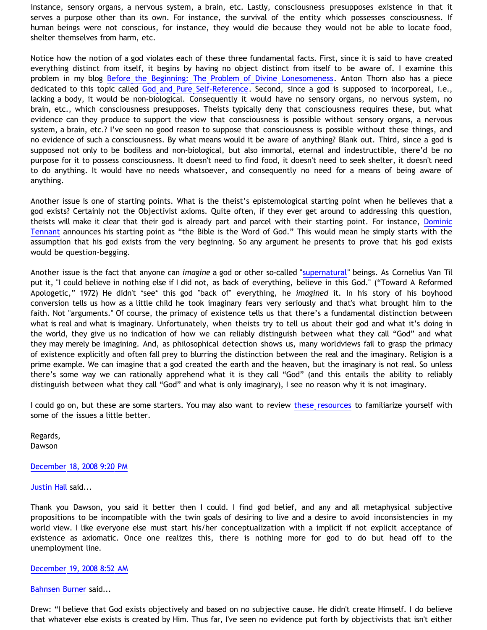instance, sensory organs, a nervous system, a brain, etc. Lastly, consciousness presupposes existence in that it serves a purpose other than its own. For instance, the survival of the entity which possesses consciousness. If human beings were not conscious, for instance, they would die because they would not be able to locate food, shelter themselves from harm, etc.

Notice how the notion of a god violates each of these three fundamental facts. First, since it is said to have created everything distinct from itself, it begins by having no object distinct from itself to be aware of. I examine this problem in my blog [Before the Beginning: The Problem of Divine Lonesomeness.](http://bahnsenburner.blogspot.com/2008/07/before-beginning-problem-of-divine.html) Anton Thorn also has a piece dedicated to this topic called [God and Pure Self-Reference.](http://www.geocities.com/Athens/Sparta/1019/LTYA/LTYA06.htm) Second, since a god is supposed to incorporeal, i.e., lacking a body, it would be non-biological. Consequently it would have no sensory organs, no nervous system, no brain, etc., which consciousness presupposes. Theists typically deny that consciousness requires these, but what evidence can they produce to support the view that consciousness is possible without sensory organs, a nervous system, a brain, etc.? I've seen no good reason to suppose that consciousness is possible without these things, and no evidence of such a consciousness. By what means would it be aware of anything? Blank out. Third, since a god is supposed not only to be bodiless and non-biological, but also immortal, eternal and indestructible, there'd be no purpose for it to possess consciousness. It doesn't need to find food, it doesn't need to seek shelter, it doesn't need to do anything. It would have no needs whatsoever, and consequently no need for a means of being aware of anything.

Another issue is one of starting points. What is the theist's epistemological starting point when he believes that a god exists? Certainly not the Objectivist axioms. Quite often, if they ever get around to addressing this question, theists will make it clear that their god is already part and parcel with their starting point. For instance, [Dominic](http://bahnsenburner.blogspot.com/2008/10/reply-to-tennant-on-theistic.html) [Tennant](http://bahnsenburner.blogspot.com/2008/10/reply-to-tennant-on-theistic.html) announces his starting point as "the Bible is the Word of God." This would mean he simply starts with the assumption that his god exists from the very beginning. So any argument he presents to prove that his god exists would be question-begging.

Another issue is the fact that anyone can *imagine* a god or other so-called "[supernatural"](http://www.geocities.com/katholon/Bahnsen_Supernatural.htm) beings. As Cornelius Van Til put it, "I could believe in nothing else if I did not, as back of everything, believe in this God." ("Toward A Reformed Apologetic," 1972) He didn't \*see\* this god "back of" everything, he *imagined* it. In his story of his boyhood conversion tells us how as a little child he took imaginary fears very seriously and that's what brought him to the faith. Not "arguments." Of course, the primacy of existence tells us that there's a fundamental distinction between what is real and what is imaginary. Unfortunately, when theists try to tell us about their god and what it's doing in the world, they give us no indication of how we can reliably distinguish between what they call "God" and what they may merely be imagining. And, as philosophical detection shows us, many worldviews fail to grasp the primacy of existence explicitly and often fall prey to blurring the distinction between the real and the imaginary. Religion is a prime example. We can imagine that a god created the earth and the heaven, but the imaginary is not real. So unless there's some way we can rationally apprehend what it is they call "God" (and this entails the ability to reliably distinguish between what they call "God" and what is only imaginary), I see no reason why it is not imaginary.

I could go on, but these are some starters. You may also want to review [these resources](http://www.geocities.com/Athens/Sparta/1019/AFE.html) to familiarize yourself with some of the issues a little better.

Regards, Dawson

## [December 18, 2008 9:20 PM](http://bahnsenburner.blogspot.com/2008/12/#7114362680666890155)

[Justin Hall](http://www.blogger.com/profile/17804641315202800289) said...

Thank you Dawson, you said it better then I could. I find god belief, and any and all metaphysical subjective propositions to be incompatible with the twin goals of desiring to live and a desire to avoid inconsistencies in my world view. I like everyone else must start his/her conceptualization with a implicit if not explicit acceptance of existence as axiomatic. Once one realizes this, there is nothing more for god to do but head off to the unemployment line.

#### [December 19, 2008 8:52 AM](http://bahnsenburner.blogspot.com/2008/12/#752062981066724450)

#### [Bahnsen Burner](http://www.blogger.com/profile/11030029491768748360) said...

Drew: "I believe that God exists objectively and based on no subjective cause. He didn't create Himself. I do believe that whatever else exists is created by Him. Thus far, I've seen no evidence put forth by objectivists that isn't either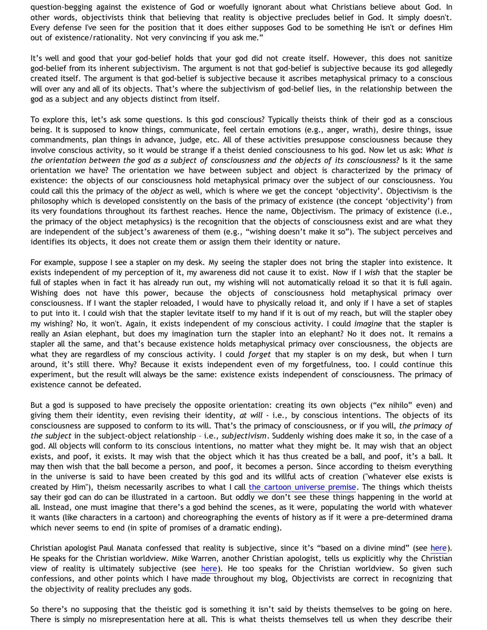question-begging against the existence of God or woefully ignorant about what Christians believe about God. In other words, objectivists think that believing that reality is objective precludes belief in God. It simply doesn't. Every defense I've seen for the position that it does either supposes God to be something He isn't or defines Him out of existence/rationality. Not very convincing if you ask me."

It's well and good that your god-belief holds that your god did not create itself. However, this does not sanitize god-belief from its inherent subjectivism. The argument is not that god-belief is subjective because its god allegedly created itself. The argument is that god-belief is subjective because it ascribes metaphysical primacy to a conscious will over any and all of its objects. That's where the subjectivism of god-belief lies, in the relationship between the god as a subject and any objects distinct from itself.

To explore this, let's ask some questions. Is this god conscious? Typically theists think of their god as a conscious being. It is supposed to know things, communicate, feel certain emotions (e.g., anger, wrath), desire things, issue commandments, plan things in advance, judge, etc. All of these activities presuppose consciousness because they involve conscious activity, so it would be strange if a theist denied consciousness to his god. Now let us ask: *What is the orientation between the god as a subject of consciousness and the objects of its consciousness?* Is it the same orientation we have? The orientation we have between subject and object is characterized by the primacy of existence: the objects of our consciousness hold metaphysical primacy over the subject of our consciousness. You could call this the primacy of the *object* as well, which is where we get the concept 'objectivity'. Objectivism is the philosophy which is developed consistently on the basis of the primacy of existence (the concept 'objectivity') from its very foundations throughout its farthest reaches. Hence the name, Objectivism. The primacy of existence (i.e., the primacy of the object metaphysics) is the recognition that the objects of consciousness exist and are what they are independent of the subject's awareness of them (e.g., "wishing doesn't make it so"). The subject perceives and identifies its objects, it does not create them or assign them their identity or nature.

For example, suppose I see a stapler on my desk. My seeing the stapler does not bring the stapler into existence. It exists independent of my perception of it, my awareness did not cause it to exist. Now if I *wish* that the stapler be full of staples when in fact it has already run out, my wishing will not automatically reload it so that it is full again. Wishing does not have this power, because the objects of consciousness hold metaphysical primacy over consciousness. If I want the stapler reloaded, I would have to physically reload it, and only if I have a set of staples to put into it. I could wish that the stapler levitate itself to my hand if it is out of my reach, but will the stapler obey my wishing? No, it won't. Again, it exists independent of my conscious activity. I could *imagine* that the stapler is really an Asian elephant, but does my imagination turn the stapler into an elephant? No it does not. It remains a stapler all the same, and that's because existence holds metaphysical primacy over consciousness, the objects are what they are regardless of my conscious activity. I could *forget* that my stapler is on my desk, but when I turn around, it's still there. Why? Because it exists independent even of my forgetfulness, too. I could continue this experiment, but the result will always be the same: existence exists independent of consciousness. The primacy of existence cannot be defeated.

But a god is supposed to have precisely the opposite orientation: creating its own objects ("ex nihilo" even) and giving them their identity, even revising their identity, *at will* - i.e., by conscious intentions. The objects of its consciousness are supposed to conform to its will. That's the primacy of consciousness, or if you will, *the primacy of the subject* in the subject-object relationship – i.e., *subjectivism*. Suddenly wishing does make it so, in the case of a god. All objects will conform to its conscious intentions, no matter what they might be. It may wish that an object exists, and poof, it exists. It may wish that the object which it has thus created be a ball, and poof, it's a ball. It may then wish that the ball become a person, and poof, it becomes a person. Since according to theism everything in the universe is said to have been created by this god and its willful acts of creation ("whatever else exists is created by Him"), theism necessarily ascribes to what I call [the cartoon universe premise](http://www.geocities.com/katholon/Cartoon_Universe_of_Christianity.htm). The things which theists say their god can do can be illustrated in a cartoon. But oddly we don't see these things happening in the world at all. Instead, one must imagine that there's a god behind the scenes, as it were, populating the world with whatever it wants (like characters in a cartoon) and choreographing the events of history as if it were a pre-determined drama which never seems to end (in spite of promises of a dramatic ending).

Christian apologist Paul Manata confessed that reality is subjective, since it's "based on a divine mind" (see [here](http://bahnsenburner.blogspot.com/2006/12/theism-and-subjective-metaphysics.html)). He speaks for the Christian worldview. Mike Warren, another Christian apologist, tells us explicitly why the Christian view of reality is ultimately subjective (see [here\)](http://bahnsenburner.blogspot.com/2006/03/confessions-of-vantillian-subjectivist.html). He too speaks for the Christian worldview. So given such confessions, and other points which I have made throughout my blog, Objectivists are correct in recognizing that the objectivity of reality precludes any gods.

So there's no supposing that the theistic god is something it isn't said by theists themselves to be going on here. There is simply no misrepresentation here at all. This is what theists themselves tell us when they describe their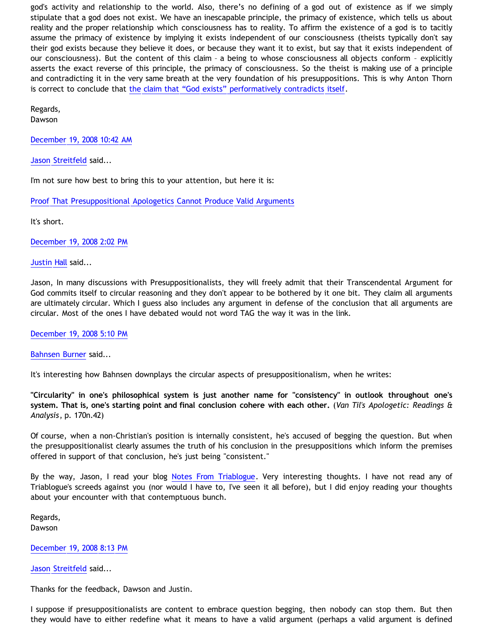god's activity and relationship to the world. Also, there's no defining of a god out of existence as if we simply stipulate that a god does not exist. We have an inescapable principle, the primacy of existence, which tells us about reality and the proper relationship which consciousness has to reality. To affirm the existence of a god is to tacitly assume the primacy of existence by implying it exists independent of our consciousness (theists typically don't say their god exists because they believe it does, or because they want it to exist, but say that it exists independent of our consciousness). But the content of this claim – a being to whose consciousness all objects conform – explicitly asserts the exact reverse of this principle, the primacy of consciousness. So the theist is making use of a principle and contradicting it in the very same breath at the very foundation of his presuppositions. This is why Anton Thorn is correct to conclude that [the claim that "God exists" performatively contradicts itself](http://www.geocities.com/Athens/Sparta/1019/AFE/God_Contradiction.htm).

Regards, Dawson

[December 19, 2008 10:42 AM](http://bahnsenburner.blogspot.com/2008/12/#4699336422292961764)

[Jason Streitfeld](http://www.blogger.com/profile/06950357341620206095) said...

I'm not sure how best to bring this to your attention, but here it is:

[Proof That Presuppositional Apologetics Cannot Produce Valid Arguments](http://specterofreason.blogspot.com/2008/12/proof-that-presuppositional-apologetics.html)

It's short.

[December 19, 2008 2:02 PM](http://bahnsenburner.blogspot.com/2008/12/#1213882133638480583)

[Justin Hall](http://www.blogger.com/profile/17804641315202800289) said...

Jason, In many discussions with Presuppositionalists, they will freely admit that their Transcendental Argument for God commits itself to circular reasoning and they don't appear to be bothered by it one bit. They claim all arguments are ultimately circular. Which I guess also includes any argument in defense of the conclusion that all arguments are circular. Most of the ones I have debated would not word TAG the way it was in the link.

[December 19, 2008 5:10 PM](http://bahnsenburner.blogspot.com/2008/12/#9171498019277324805)

[Bahnsen Burner](http://www.blogger.com/profile/11030029491768748360) said...

It's interesting how Bahnsen downplays the circular aspects of presuppositionalism, when he writes:

**"Circularity" in one's philosophical system is just another name for "consistency" in outlook throughout one's system. That is, one's starting point and final conclusion cohere with each other.** (*Van Til's Apologetic: Readings & Analysis*, p. 170n.42)

Of course, when a non-Christian's position is internally consistent, he's accused of begging the question. But when the presuppositionalist clearly assumes the truth of his conclusion in the presuppositions which inform the premises offered in support of that conclusion, he's just being "consistent."

By the way, Jason, I read your blog [Notes From Triablogue.](http://specterofreason.blogspot.com/2008/12/notes-from-triablogue.html) Very interesting thoughts. I have not read any of Triablogue's screeds against you (nor would I have to, I've seen it all before), but I did enjoy reading your thoughts about your encounter with that contemptuous bunch.

Regards, Dawson

[December 19, 2008 8:13 PM](http://bahnsenburner.blogspot.com/2008/12/#3379694527597104005)

[Jason Streitfeld](http://www.blogger.com/profile/06950357341620206095) said...

Thanks for the feedback, Dawson and Justin.

I suppose if presuppositionalists are content to embrace question begging, then nobody can stop them. But then they would have to either redefine what it means to have a valid argument (perhaps a valid argument is defined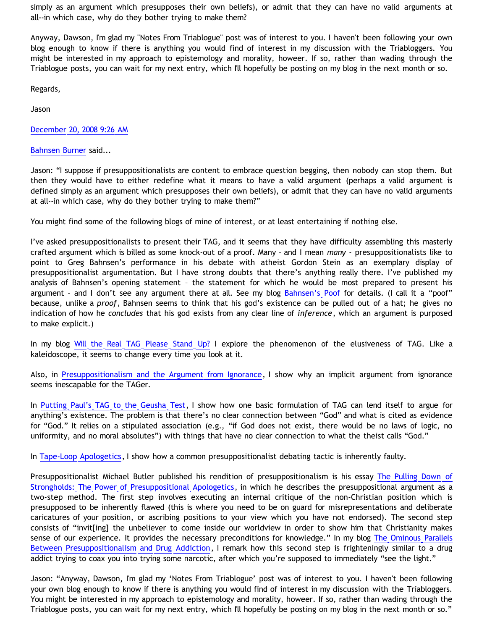simply as an argument which presupposes their own beliefs), or admit that they can have no valid arguments at all--in which case, why do they bother trying to make them?

Anyway, Dawson, I'm glad my "Notes From Triablogue" post was of interest to you. I haven't been following your own blog enough to know if there is anything you would find of interest in my discussion with the Triabloggers. You might be interested in my approach to epistemology and morality, howeer. If so, rather than wading through the Triablogue posts, you can wait for my next entry, which I'll hopefully be posting on my blog in the next month or so.

Regards,

Jason

[December 20, 2008 9:26 AM](http://bahnsenburner.blogspot.com/2008/12/#6302800214310427271)

[Bahnsen Burner](http://www.blogger.com/profile/11030029491768748360) said...

Jason: "I suppose if presuppositionalists are content to embrace question begging, then nobody can stop them. But then they would have to either redefine what it means to have a valid argument (perhaps a valid argument is defined simply as an argument which presupposes their own beliefs), or admit that they can have no valid arguments at all--in which case, why do they bother trying to make them?"

You might find some of the following blogs of mine of interest, or at least entertaining if nothing else.

I've asked presuppositionalists to present their TAG, and it seems that they have difficulty assembling this masterly crafted argument which is billed as some knock-out of a proof. Many – and I mean *many* - presuppositionalists like to point to Greg Bahnsen's performance in his debate with atheist Gordon Stein as an exemplary display of presuppositionalist argumentation. But I have strong doubts that there's anything really there. I've published my analysis of Bahnsen's opening statement – the statement for which he would be most prepared to present his argument - and I don't see any argument there at all. See my blog [Bahnsen's Poof](http://bahnsenburner.blogspot.com/2005/03/bahnsens-poof.html) for details. (I call it a "poof" because, unlike a *proof*, Bahnsen seems to think that his god's existence can be pulled out of a hat; he gives no indication of how he *concludes* that his god exists from any clear line of *inference*, which an argument is purposed to make explicit.)

In my blog [Will the Real TAG Please Stand Up?](http://bahnsenburner.blogspot.com/2006/03/will-real-tag-please-stand-up.html) I explore the phenomenon of the elusiveness of TAG. Like a kaleidoscope, it seems to change every time you look at it.

Also, in [Presuppositionalism and the Argument from Ignorance](http://bahnsenburner.blogspot.com/2006/02/presuppositionalism-and-argument-from.html), I show why an implicit argument from ignorance seems inescapable for the TAGer.

In [Putting Paul's TAG to the Geusha Test,](http://bahnsenburner.blogspot.com/2005/04/putting-pauls-tag-to-geusha-test.html) I show how one basic formulation of TAG can lend itself to argue for anything's existence. The problem is that there's no clear connection between "God" and what is cited as evidence for "God." It relies on a stipulated association (e.g., "if God does not exist, there would be no laws of logic, no uniformity, and no moral absolutes") with things that have no clear connection to what the theist calls "God."

In [Tape-Loop Apologetics](http://bahnsenburner.blogspot.com/2005/11/tape-loop-apologetics.html), I show how a common presuppositionalist debating tactic is inherently faulty.

Presuppositionalist Michael Butler published his rendition of presuppositionalism is his essay [The Pulling Down of](http://butler-harris.org/archives/158) [Strongholds: The Power of Presuppositional Apologetics](http://butler-harris.org/archives/158), in which he describes the presuppositional argument as a two-step method. The first step involves executing an internal critique of the non-Christian position which is presupposed to be inherently flawed (this is where you need to be on guard for misrepresentations and deliberate caricatures of your position, or ascribing positions to your view which you have not endorsed). The second step consists of "invit[ing] the unbeliever to come inside our worldview in order to show him that Christianity makes sense of our experience. It provides the necessary preconditions for knowledge." In my blog [The Ominous Parallels](http://bahnsenburner.blogspot.com/2007/02/ominous-parallels-between.html) [Between Presuppositionalism and Drug Addiction](http://bahnsenburner.blogspot.com/2007/02/ominous-parallels-between.html), I remark how this second step is frighteningly similar to a drug addict trying to coax you into trying some narcotic, after which you're supposed to immediately "see the light."

Jason: "Anyway, Dawson, I'm glad my 'Notes From Triablogue' post was of interest to you. I haven't been following your own blog enough to know if there is anything you would find of interest in my discussion with the Triabloggers. You might be interested in my approach to epistemology and morality, howeer. If so, rather than wading through the Triablogue posts, you can wait for my next entry, which I'll hopefully be posting on my blog in the next month or so."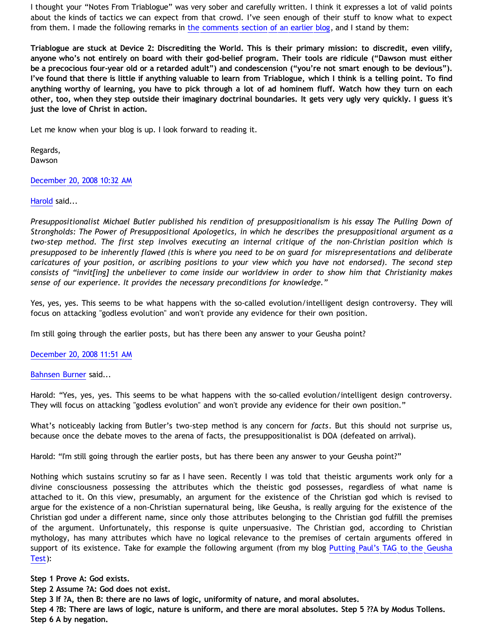I thought your "Notes From Triablogue" was very sober and carefully written. I think it expresses a lot of valid points about the kinds of tactics we can expect from that crowd. I've seen enough of their stuff to know what to expect from them. I made the following remarks in [the comments section of an earlier blog,](http://bahnsenburner.blogspot.com/2008/11/rival-philosophies-of-fact.html) and I stand by them:

**Triablogue are stuck at Device 2: Discrediting the World. This is their primary mission: to discredit, even vilify, anyone who's not entirely on board with their god-belief program. Their tools are ridicule ("Dawson must either be a precocious four-year old or a retarded adult") and condescension ("you're not smart enough to be devious"). I've found that there is little if anything valuable to learn from Triablogue, which I think is a telling point. To find anything worthy of learning, you have to pick through a lot of ad hominem fluff. Watch how they turn on each other, too, when they step outside their imaginary doctrinal boundaries. It gets very ugly very quickly. I guess it's just the love of Christ in action.**

Let me know when your blog is up. I look forward to reading it.

Regards, Dawson

[December 20, 2008 10:32 AM](http://bahnsenburner.blogspot.com/2008/12/#778606192949354795)

# [Harold](http://www.blogger.com/profile/10897769844874861468) said...

*Presuppositionalist Michael Butler published his rendition of presuppositionalism is his essay The Pulling Down of Strongholds: The Power of Presuppositional Apologetics, in which he describes the presuppositional argument as a two-step method. The first step involves executing an internal critique of the non-Christian position which is presupposed to be inherently flawed (this is where you need to be on guard for misrepresentations and deliberate caricatures of your position, or ascribing positions to your view which you have not endorsed). The second step consists of "invit[ing] the unbeliever to come inside our worldview in order to show him that Christianity makes sense of our experience. It provides the necessary preconditions for knowledge."*

Yes, yes, yes. This seems to be what happens with the so-called evolution/intelligent design controversy. They will focus on attacking "godless evolution" and won't provide any evidence for their own position.

I'm still going through the earlier posts, but has there been any answer to your Geusha point?

[December 20, 2008 11:51 AM](http://bahnsenburner.blogspot.com/2008/12/#1231778363148973380)

[Bahnsen Burner](http://www.blogger.com/profile/11030029491768748360) said...

Harold: "Yes, yes, yes. This seems to be what happens with the so-called evolution/intelligent design controversy. They will focus on attacking "godless evolution" and won't provide any evidence for their own position."

What's noticeably lacking from Butler's two-step method is any concern for *facts*. But this should not surprise us, because once the debate moves to the arena of facts, the presuppositionalist is DOA (defeated on arrival).

Harold: "I'm still going through the earlier posts, but has there been any answer to your Geusha point?"

Nothing which sustains scrutiny so far as I have seen. Recently I was told that theistic arguments work only for a divine consciousness possessing the attributes which the theistic god possesses, regardless of what name is attached to it. On this view, presumably, an argument for the existence of the Christian god which is revised to argue for the existence of a non-Christian supernatural being, like Geusha, is really arguing for the existence of the Christian god under a different name, since only those attributes belonging to the Christian god fulfill the premises of the argument. Unfortunately, this response is quite unpersuasive. The Christian god, according to Christian mythology, has many attributes which have no logical relevance to the premises of certain arguments offered in support of its existence. Take for example the following argument (from my blog [Putting Paul's TAG to the Geusha](http://bahnsenburner.blogspot.com/2005/04/putting-pauls-tag-to-geusha-test.html) [Test](http://bahnsenburner.blogspot.com/2005/04/putting-pauls-tag-to-geusha-test.html)):

**Step 1 Prove A: God exists.**

**Step 2 Assume ?A: God does not exist.**

**Step 3 If ?A, then B: there are no laws of logic, uniformity of nature, and moral absolutes.**

**Step 4 ?B: There are laws of logic, nature is uniform, and there are moral absolutes. Step 5 ??A by Modus Tollens. Step 6 A by negation.**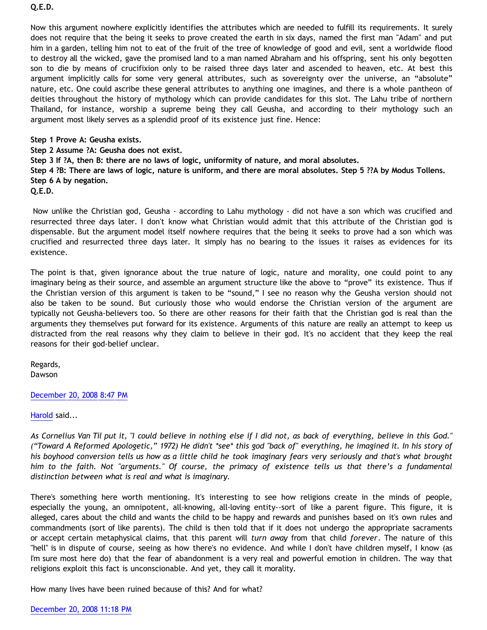# **Q.E.D.**

Now this argument nowhere explicitly identifies the attributes which are needed to fulfill its requirements. It surely does not require that the being it seeks to prove created the earth in six days, named the first man "Adam" and put him in a garden, telling him not to eat of the fruit of the tree of knowledge of good and evil, sent a worldwide flood to destroy all the wicked, gave the promised land to a man named Abraham and his offspring, sent his only begotten son to die by means of crucifixion only to be raised three days later and ascended to heaven, etc. At best this argument implicitly calls for some very general attributes, such as sovereignty over the universe, an "absolute" nature, etc. One could ascribe these general attributes to anything one imagines, and there is a whole pantheon of deities throughout the history of mythology which can provide candidates for this slot. The Lahu tribe of northern Thailand, for instance, worship a supreme being they call Geusha, and according to their mythology such an argument most likely serves as a splendid proof of its existence just fine. Hence:

## **Step 1 Prove A: Geusha exists.**

**Step 2 Assume ?A: Geusha does not exist.**

**Step 3 If ?A, then B: there are no laws of logic, uniformity of nature, and moral absolutes.**

**Step 4 ?B: There are laws of logic, nature is uniform, and there are moral absolutes. Step 5 ??A by Modus Tollens. Step 6 A by negation.**

**Q.E.D.**

 Now unlike the Christian god, Geusha - according to Lahu mythology - did not have a son which was crucified and resurrected three days later. I don't know what Christian would admit that this attribute of the Christian god is dispensable. But the argument model itself nowhere requires that the being it seeks to prove had a son which was crucified and resurrected three days later. It simply has no bearing to the issues it raises as evidences for its existence.

The point is that, given ignorance about the true nature of logic, nature and morality, one could point to any imaginary being as their source, and assemble an argument structure like the above to "prove" its existence. Thus if the Christian version of this argument is taken to be "sound," I see no reason why the Geusha version should not also be taken to be sound. But curiously those who would endorse the Christian version of the argument are typically not Geusha-believers too. So there are other reasons for their faith that the Christian god is real than the arguments they themselves put forward for its existence. Arguments of this nature are really an attempt to keep us distracted from the real reasons why they claim to believe in their god. It's no accident that they keep the real reasons for their god-belief unclear.

Regards, Dawson

## [December 20, 2008 8:47 PM](http://bahnsenburner.blogspot.com/2008/12/#3139042605703959902)

## [Harold](http://www.blogger.com/profile/10897769844874861468) said...

*As Cornelius Van Til put it, "I could believe in nothing else if I did not, as back of everything, believe in this God." ("Toward A Reformed Apologetic," 1972) He didn't \*see\* this god "back of" everything, he imagined it. In his story of his boyhood conversion tells us how as a little child he took imaginary fears very seriously and that's what brought him to the faith. Not "arguments." Of course, the primacy of existence tells us that there's a fundamental distinction between what is real and what is imaginary.*

There's something here worth mentioning. It's interesting to see how religions create in the minds of people, especially the young, an omnipotent, all-knowing, all-loving entity--sort of like a parent figure. This figure, it is alleged, cares about the child and wants the child to be happy and rewards and punishes based on it's own rules and commandments (sort of like parents). The child is then told that if it does not undergo the appropriate sacraments or accept certain metaphysical claims, that this parent will *turn away* from that child *forever*. The nature of this "hell" is in dispute of course, seeing as how there's no evidence. And while I don't have children myself, I know (as I'm sure most here do) that the fear of abandonment is a very real and powerful emotion in children. The way that religions exploit this fact is unconscionable. And yet, they call it morality.

How many lives have been ruined because of this? And for what?

# [December 20, 2008 11:18 PM](http://bahnsenburner.blogspot.com/2008/12/#7621976659659914024)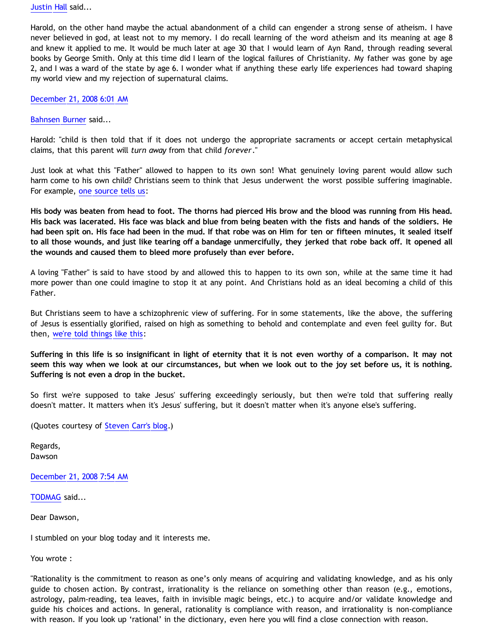[Justin Hall](http://www.blogger.com/profile/17804641315202800289) said...

Harold, on the other hand maybe the actual abandonment of a child can engender a strong sense of atheism. I have never believed in god, at least not to my memory. I do recall learning of the word atheism and its meaning at age 8 and knew it applied to me. It would be much later at age 30 that I would learn of Ayn Rand, through reading several books by George Smith. Only at this time did I learn of the logical failures of Christianity. My father was gone by age 2, and I was a ward of the state by age 6. I wonder what if anything these early life experiences had toward shaping my world view and my rejection of supernatural claims.

[December 21, 2008 6:01 AM](http://bahnsenburner.blogspot.com/2008/12/#7554303700949221301)

[Bahnsen Burner](http://www.blogger.com/profile/11030029491768748360) said...

Harold: "child is then told that if it does not undergo the appropriate sacraments or accept certain metaphysical claims, that this parent will *turn away* from that child *forever*."

Just look at what this "Father" allowed to happen to its own son! What genuinely loving parent would allow such harm come to his own child? Christians seem to think that Jesus underwent the worst possible suffering imaginable. For example, [one source tells us](http://www.whatistruth.info/rugged.html):

**His body was beaten from head to foot. The thorns had pierced His brow and the blood was running from His head. His back was lacerated. His face was black and blue from being beaten with the fists and hands of the soldiers. He had been spit on. His face had been in the mud. If that robe was on Him for ten or fifteen minutes, it sealed itself to all those wounds, and just like tearing off a bandage unmercifully, they jerked that robe back off. It opened all the wounds and caused them to bleed more profusely than ever before.**

A loving "Father" is said to have stood by and allowed this to happen to its own son, while at the same time it had more power than one could imagine to stop it at any point. And Christians hold as an ideal becoming a child of this Father.

But Christians seem to have a schizophrenic view of suffering. For in some statements, like the above, the suffering of Jesus is essentially glorified, raised on high as something to behold and contemplate and even feel guilty for. But then, [we're told things like this](http://www.exchangedlife.com/Sermons/topical/suffer/joy_of_suffering.shtml):

**Suffering in this life is so insignificant in light of eternity that it is not even worthy of a comparison. It may not seem this way when we look at our circumstances, but when we look out to the joy set before us, it is nothing. Suffering is not even a drop in the bucket.**

So first we're supposed to take Jesus' suffering exceedingly seriously, but then we're told that suffering really doesn't matter. It matters when it's Jesus' suffering, but it doesn't matter when it's anyone else's suffering.

(Quotes courtesy of [Steven Carr's blog](http://stevencarrwork.blogspot.com/2007/07/christianity-self-contradictory-or-what.html).)

Regards, Dawson

[December 21, 2008 7:54 AM](http://bahnsenburner.blogspot.com/2008/12/#1037573242637673960)

[TODMAG](http://www.blogger.com/profile/00637061360445902624) said...

Dear Dawson,

I stumbled on your blog today and it interests me.

You wrote :

"Rationality is the commitment to reason as one's only means of acquiring and validating knowledge, and as his only guide to chosen action. By contrast, irrationality is the reliance on something other than reason (e.g., emotions, astrology, palm-reading, tea leaves, faith in invisible magic beings, etc.) to acquire and/or validate knowledge and guide his choices and actions. In general, rationality is compliance with reason, and irrationality is non-compliance with reason. If you look up 'rational' in the dictionary, even here you will find a close connection with reason.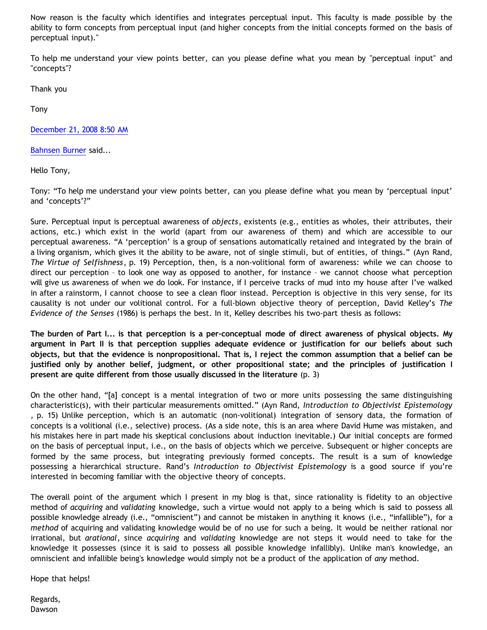Now reason is the faculty which identifies and integrates perceptual input. This faculty is made possible by the ability to form concepts from perceptual input (and higher concepts from the initial concepts formed on the basis of perceptual input)."

To help me understand your view points better, can you please define what you mean by "perceptual input" and "concepts"?

Thank you

Tony

[December 21, 2008 8:50 AM](http://bahnsenburner.blogspot.com/2008/12/#843467479179894743)

[Bahnsen Burner](http://www.blogger.com/profile/11030029491768748360) said...

Hello Tony,

Tony: "To help me understand your view points better, can you please define what you mean by 'perceptual input' and 'concepts'?"

Sure. Perceptual input is perceptual awareness of *objects*, existents (e.g., entities as wholes, their attributes, their actions, etc.) which exist in the world (apart from our awareness of them) and which are accessible to our perceptual awareness. "A 'perception' is a group of sensations automatically retained and integrated by the brain of a living organism, which gives it the ability to be aware, not of single stimuli, but of entities, of things." (Ayn Rand, *The Virtue of Selfishness*, p. 19) Perception, then, is a non-volitional form of awareness: while we can choose to direct our perception – to look one way as opposed to another, for instance – we cannot choose what perception will give us awareness of when we do look. For instance, if I perceive tracks of mud into my house after I've walked in after a rainstorm, I cannot choose to see a clean floor instead. Perception is objective in this very sense, for its causality is not under our volitional control. For a full-blown objective theory of perception, David Kelley's *The Evidence of the Senses* (1986) is perhaps the best. In it, Kelley describes his two-part thesis as follows:

**The burden of Part I... is that perception is a per-conceptual mode of direct awareness of physical objects. My argument in Part II is that perception supplies adequate evidence or justification for our beliefs about such objects, but that the evidence is nonpropositional. That is, I reject the common assumption that a belief can be justified only by another belief, judgment, or other propositional state; and the principles of justification I present are quite different from those usually discussed in the literature** (p. 3)

On the other hand, "[a] concept is a mental integration of two or more units possessing the same distinguishing characteristic(s), with their particular measurements omitted." (Ayn Rand, *Introduction to Objectivist Epistemology* , p. 15) Unlike perception, which is an automatic (non-volitional) integration of sensory data, the formation of concepts is a volitional (i.e., selective) process. (As a side note, this is an area where David Hume was mistaken, and his mistakes here in part made his skeptical conclusions about induction inevitable.) Our initial concepts are formed on the basis of perceptual input, i.e., on the basis of objects which we perceive. Subsequent or higher concepts are formed by the same process, but integrating previously formed concepts. The result is a sum of knowledge possessing a hierarchical structure. Rand's *Introduction to Objectivist Epistemology* is a good source if you're interested in becoming familiar with the objective theory of concepts.

The overall point of the argument which I present in my blog is that, since rationality is fidelity to an objective method of *acquiring* and *validating* knowledge, such a virtue would not apply to a being which is said to possess all possible knowledge already (i.e., "omniscient") and cannot be mistaken in anything it knows (i.e., "infallible"), for a *method* of acquiring and validating knowledge would be of no use for such a being. It would be neither rational nor irrational, but *arational*, since *acquiring* and *validating* knowledge are not steps it would need to take for the knowledge it possesses (since it is said to possess all possible knowledge infallibly). Unlike man's knowledge, an omniscient and infallible being's knowledge would simply not be a product of the application of *any* method.

Hope that helps!

Regards, Dawson